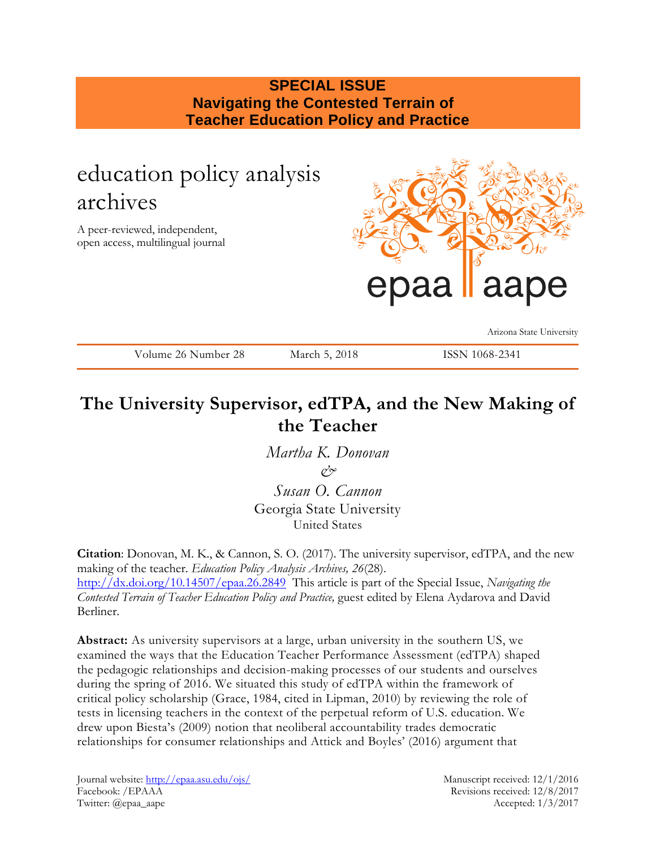# **SPECIAL ISSUE Navigating the Contested Terrain of Teacher Education Policy and Practice**

# education policy analysis archives

A peer-reviewed, independent, open access, multilingual journal



Arizona State University

Volume 26 Number 28 March 5, 2018 ISSN 1068-2341

# **The University Supervisor, edTPA, and the New Making of the Teacher**

*Martha K. Donovan* 

*&*

*Susan O. Cannon* Georgia State University United States

**Citation**: Donovan, M. K., & Cannon, S. O. (2017). The university supervisor, edTPA, and the new making of the teacher. *Education Policy Analysis Archives, 26*(28).

<http://dx.doi.org/10.14507/epaa.26.2849> This article is part of the Special Issue, *Navigating the Contested Terrain of Teacher Education Policy and Practice,* guest edited by Elena Aydarova and David Berliner.

**Abstract:** As university supervisors at a large, urban university in the southern US, we examined the ways that the Education Teacher Performance Assessment (edTPA) shaped the pedagogic relationships and decision-making processes of our students and ourselves during the spring of 2016. We situated this study of edTPA within the framework of critical policy scholarship (Grace, 1984, cited in Lipman, 2010) by reviewing the role of tests in licensing teachers in the context of the perpetual reform of U.S. education. We drew upon Biesta's (2009) notion that neoliberal accountability trades democratic relationships for consumer relationships and Attick and Boyles' (2016) argument that

Journal website:<http://epaa.asu.edu/ojs/> Manuscript received: 12/1/2016 Facebook: /EPAAA Revisions received: 12/8/2017 Twitter: @epaa\_aape Accepted: 1/3/2017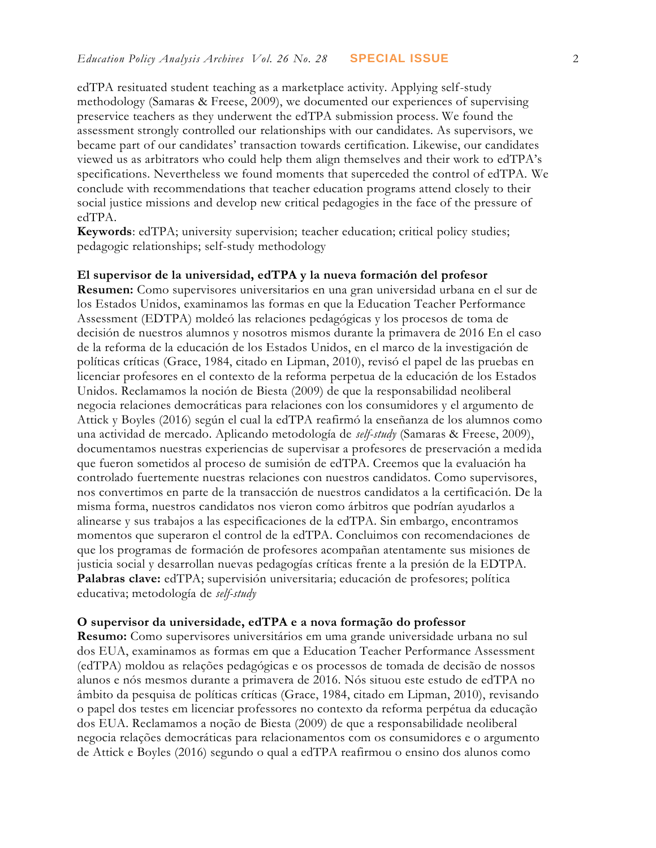edTPA resituated student teaching as a marketplace activity. Applying self-study methodology (Samaras & Freese, 2009), we documented our experiences of supervising preservice teachers as they underwent the edTPA submission process. We found the assessment strongly controlled our relationships with our candidates. As supervisors, we became part of our candidates' transaction towards certification. Likewise, our candidates viewed us as arbitrators who could help them align themselves and their work to edTPA's specifications. Nevertheless we found moments that superceded the control of edTPA. We conclude with recommendations that teacher education programs attend closely to their social justice missions and develop new critical pedagogies in the face of the pressure of edTPA.

**Keywords**: edTPA; university supervision; teacher education; critical policy studies; pedagogic relationships; self-study methodology

#### **El supervisor de la universidad, edTPA y la nueva formación del profesor**

**Resumen:** Como supervisores universitarios en una gran universidad urbana en el sur de los Estados Unidos, examinamos las formas en que la Education Teacher Performance Assessment (EDTPA) moldeó las relaciones pedagógicas y los procesos de toma de decisión de nuestros alumnos y nosotros mismos durante la primavera de 2016 En el caso de la reforma de la educación de los Estados Unidos, en el marco de la investigación de políticas críticas (Grace, 1984, citado en Lipman, 2010), revisó el papel de las pruebas en licenciar profesores en el contexto de la reforma perpetua de la educación de los Estados Unidos. Reclamamos la noción de Biesta (2009) de que la responsabilidad neoliberal negocia relaciones democráticas para relaciones con los consumidores y el argumento de Attick y Boyles (2016) según el cual la edTPA reafirmó la enseñanza de los alumnos como una actividad de mercado. Aplicando metodología de *self-study* (Samaras & Freese, 2009), documentamos nuestras experiencias de supervisar a profesores de preservación a medida que fueron sometidos al proceso de sumisión de edTPA. Creemos que la evaluación ha controlado fuertemente nuestras relaciones con nuestros candidatos. Como supervisores, nos convertimos en parte de la transacción de nuestros candidatos a la certificación. De la misma forma, nuestros candidatos nos vieron como árbitros que podrían ayudarlos a alinearse y sus trabajos a las especificaciones de la edTPA. Sin embargo, encontramos momentos que superaron el control de la edTPA. Concluimos con recomendaciones de que los programas de formación de profesores acompañan atentamente sus misiones de justicia social y desarrollan nuevas pedagogías críticas frente a la presión de la EDTPA. **Palabras clave:** edTPA; supervisión universitaria; educación de profesores; política educativa; metodología de *self-study*

#### **O supervisor da universidade, edTPA e a nova formação do professor**

**Resumo:** Como supervisores universitários em uma grande universidade urbana no sul dos EUA, examinamos as formas em que a Education Teacher Performance Assessment (edTPA) moldou as relações pedagógicas e os processos de tomada de decisão de nossos alunos e nós mesmos durante a primavera de 2016. Nós situou este estudo de edTPA no âmbito da pesquisa de políticas críticas (Grace, 1984, citado em Lipman, 2010), revisando o papel dos testes em licenciar professores no contexto da reforma perpétua da educação dos EUA. Reclamamos a noção de Biesta (2009) de que a responsabilidade neoliberal negocia relações democráticas para relacionamentos com os consumidores e o argumento de Attick e Boyles (2016) segundo o qual a edTPA reafirmou o ensino dos alunos como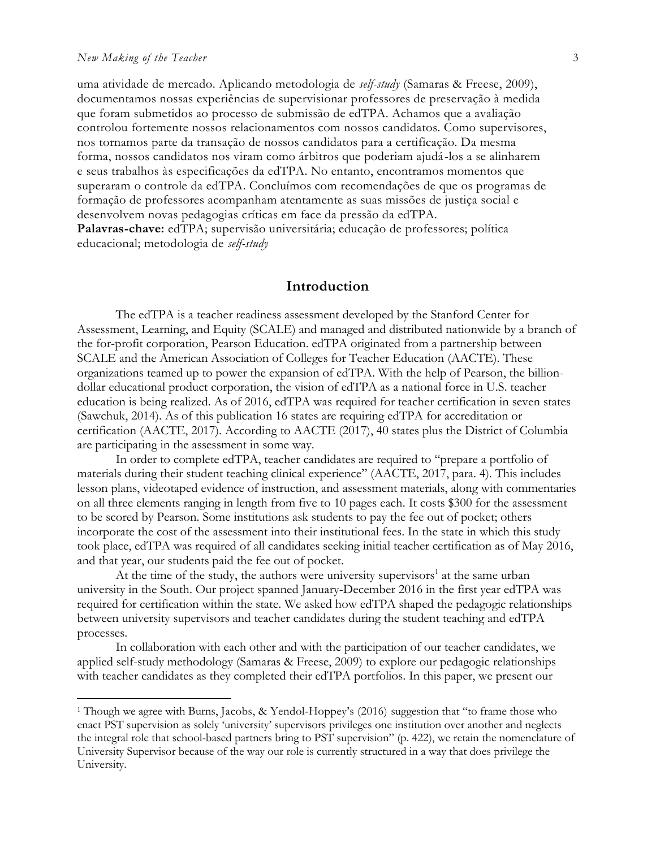#### *New Making of the Teacher* 3

 $\overline{a}$ 

uma atividade de mercado. Aplicando metodologia de *self-study* (Samaras & Freese, 2009), documentamos nossas experiências de supervisionar professores de preservação à medida que foram submetidos ao processo de submissão de edTPA. Achamos que a avaliação controlou fortemente nossos relacionamentos com nossos candidatos. Como supervisores, nos tornamos parte da transação de nossos candidatos para a certificação. Da mesma forma, nossos candidatos nos viram como árbitros que poderiam ajudá-los a se alinharem e seus trabalhos às especificações da edTPA. No entanto, encontramos momentos que superaram o controle da edTPA. Concluímos com recomendações de que os programas de formação de professores acompanham atentamente as suas missões de justiça social e desenvolvem novas pedagogias críticas em face da pressão da edTPA. **Palavras-chave:** edTPA; supervisão universitária; educação de professores; política educacional; metodologia de *self-study*

#### **Introduction**

The edTPA is a teacher readiness assessment developed by the Stanford Center for Assessment, Learning, and Equity (SCALE) and managed and distributed nationwide by a branch of the for-profit corporation, Pearson Education. edTPA originated from a partnership between SCALE and the American Association of Colleges for Teacher Education (AACTE). These organizations teamed up to power the expansion of edTPA. With the help of Pearson, the billiondollar educational product corporation, the vision of edTPA as a national force in U.S. teacher education is being realized. As of 2016, edTPA was required for teacher certification in seven states (Sawchuk, 2014). As of this publication 16 states are requiring edTPA for accreditation or certification (AACTE, 2017). According to AACTE (2017), 40 states plus the District of Columbia are participating in the assessment in some way.

In order to complete edTPA, teacher candidates are required to "prepare a portfolio of materials during their student teaching clinical experience" (AACTE, 2017, para. 4). This includes lesson plans, videotaped evidence of instruction, and assessment materials, along with commentaries on all three elements ranging in length from five to 10 pages each. It costs \$300 for the assessment to be scored by Pearson. Some institutions ask students to pay the fee out of pocket; others incorporate the cost of the assessment into their institutional fees. In the state in which this study took place, edTPA was required of all candidates seeking initial teacher certification as of May 2016, and that year, our students paid the fee out of pocket.

At the time of the study, the authors were university supervisors<sup>1</sup> at the same urban university in the South. Our project spanned January-December 2016 in the first year edTPA was required for certification within the state. We asked how edTPA shaped the pedagogic relationships between university supervisors and teacher candidates during the student teaching and edTPA processes.

In collaboration with each other and with the participation of our teacher candidates, we applied self-study methodology (Samaras & Freese, 2009) to explore our pedagogic relationships with teacher candidates as they completed their edTPA portfolios. In this paper, we present our

<sup>1</sup> Though we agree with Burns, Jacobs, & Yendol-Hoppey's (2016) suggestion that "to frame those who enact PST supervision as solely 'university' supervisors privileges one institution over another and neglects the integral role that school-based partners bring to PST supervision" (p. 422), we retain the nomenclature of University Supervisor because of the way our role is currently structured in a way that does privilege the University.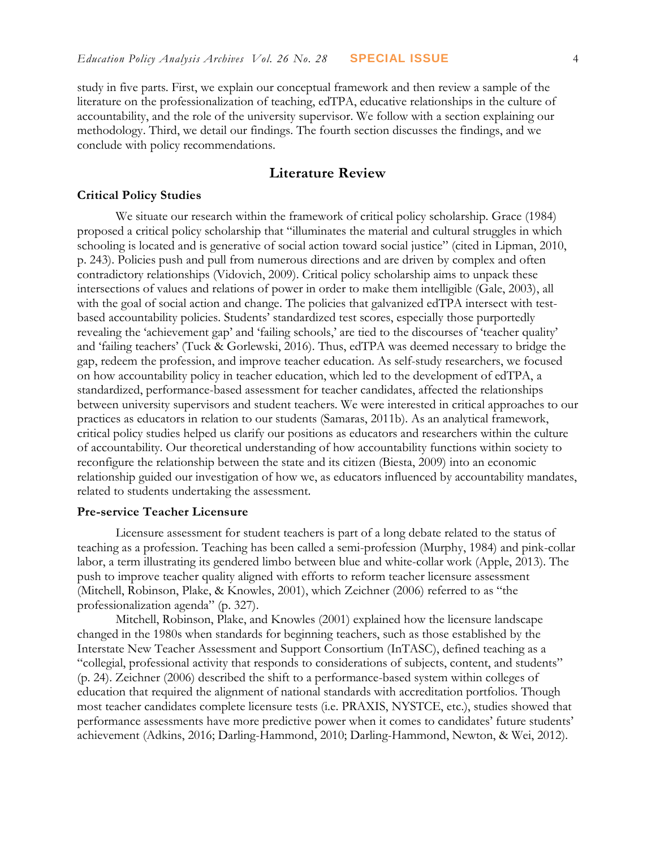study in five parts. First, we explain our conceptual framework and then review a sample of the literature on the professionalization of teaching, edTPA, educative relationships in the culture of accountability, and the role of the university supervisor. We follow with a section explaining our methodology. Third, we detail our findings. The fourth section discusses the findings, and we conclude with policy recommendations.

# **Literature Review**

#### **Critical Policy Studies**

We situate our research within the framework of critical policy scholarship. Grace (1984) proposed a critical policy scholarship that "illuminates the material and cultural struggles in which schooling is located and is generative of social action toward social justice" (cited in Lipman, 2010, p. 243). Policies push and pull from numerous directions and are driven by complex and often contradictory relationships (Vidovich, 2009). Critical policy scholarship aims to unpack these intersections of values and relations of power in order to make them intelligible (Gale, 2003), all with the goal of social action and change. The policies that galvanized edTPA intersect with testbased accountability policies. Students' standardized test scores, especially those purportedly revealing the 'achievement gap' and 'failing schools,' are tied to the discourses of 'teacher quality' and 'failing teachers' (Tuck & Gorlewski, 2016). Thus, edTPA was deemed necessary to bridge the gap, redeem the profession, and improve teacher education. As self-study researchers, we focused on how accountability policy in teacher education, which led to the development of edTPA, a standardized, performance-based assessment for teacher candidates, affected the relationships between university supervisors and student teachers. We were interested in critical approaches to our practices as educators in relation to our students (Samaras, 2011b). As an analytical framework, critical policy studies helped us clarify our positions as educators and researchers within the culture of accountability. Our theoretical understanding of how accountability functions within society to reconfigure the relationship between the state and its citizen (Biesta, 2009) into an economic relationship guided our investigation of how we, as educators influenced by accountability mandates, related to students undertaking the assessment.

## **Pre-service Teacher Licensure**

Licensure assessment for student teachers is part of a long debate related to the status of teaching as a profession. Teaching has been called a semi-profession (Murphy, 1984) and pink-collar labor, a term illustrating its gendered limbo between blue and white-collar work (Apple, 2013). The push to improve teacher quality aligned with efforts to reform teacher licensure assessment (Mitchell, Robinson, Plake, & Knowles, 2001), which Zeichner (2006) referred to as "the professionalization agenda" (p. 327).

Mitchell, Robinson, Plake, and Knowles (2001) explained how the licensure landscape changed in the 1980s when standards for beginning teachers, such as those established by the Interstate New Teacher Assessment and Support Consortium (InTASC), defined teaching as a "collegial, professional activity that responds to considerations of subjects, content, and students" (p. 24). Zeichner (2006) described the shift to a performance-based system within colleges of education that required the alignment of national standards with accreditation portfolios. Though most teacher candidates complete licensure tests (i.e. PRAXIS, NYSTCE, etc.), studies showed that performance assessments have more predictive power when it comes to candidates' future students' achievement (Adkins, 2016; Darling-Hammond, 2010; Darling-Hammond, Newton, & Wei, 2012).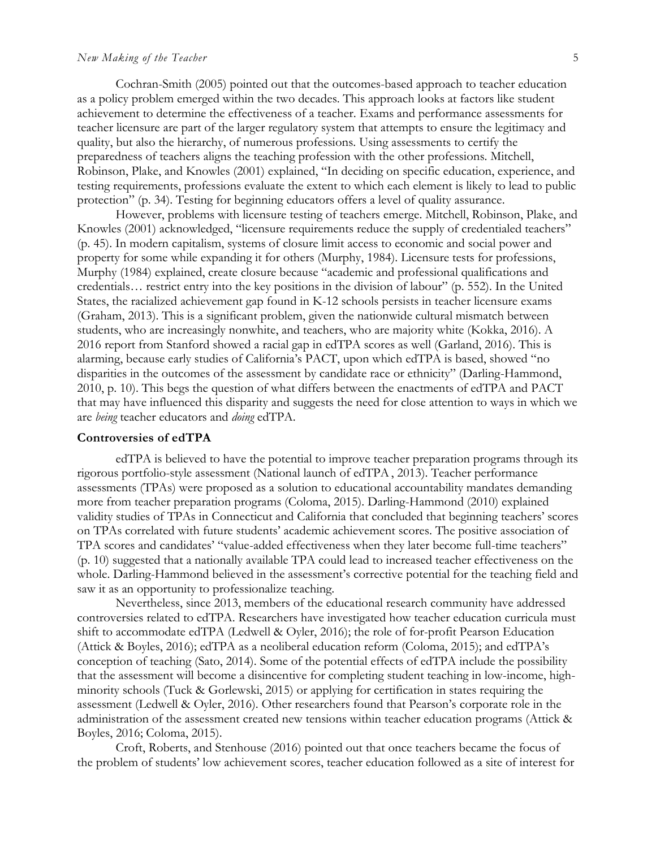#### *New Making of the Teacher* 5

Cochran-Smith (2005) pointed out that the outcomes-based approach to teacher education as a policy problem emerged within the two decades. This approach looks at factors like student achievement to determine the effectiveness of a teacher. Exams and performance assessments for teacher licensure are part of the larger regulatory system that attempts to ensure the legitimacy and quality, but also the hierarchy, of numerous professions. Using assessments to certify the preparedness of teachers aligns the teaching profession with the other professions. Mitchell, Robinson, Plake, and Knowles (2001) explained, "In deciding on specific education, experience, and testing requirements, professions evaluate the extent to which each element is likely to lead to public protection" (p. 34). Testing for beginning educators offers a level of quality assurance.

However, problems with licensure testing of teachers emerge. Mitchell, Robinson, Plake, and Knowles (2001) acknowledged, "licensure requirements reduce the supply of credentialed teachers" (p. 45). In modern capitalism, systems of closure limit access to economic and social power and property for some while expanding it for others (Murphy, 1984). Licensure tests for professions, Murphy (1984) explained, create closure because "academic and professional qualifications and credentials… restrict entry into the key positions in the division of labour" (p. 552). In the United States, the racialized achievement gap found in K-12 schools persists in teacher licensure exams (Graham, 2013). This is a significant problem, given the nationwide cultural mismatch between students, who are increasingly nonwhite, and teachers, who are majority white (Kokka, 2016). A 2016 report from Stanford showed a racial gap in edTPA scores as well (Garland, 2016). This is alarming, because early studies of California's PACT, upon which edTPA is based, showed "no disparities in the outcomes of the assessment by candidate race or ethnicity" (Darling-Hammond, 2010, p. 10). This begs the question of what differs between the enactments of edTPA and PACT that may have influenced this disparity and suggests the need for close attention to ways in which we are *being* teacher educators and *doing* edTPA.

#### **Controversies of edTPA**

edTPA is believed to have the potential to improve teacher preparation programs through its rigorous portfolio-style assessment (National launch of edTPA, 2013). Teacher performance assessments (TPAs) were proposed as a solution to educational accountability mandates demanding more from teacher preparation programs (Coloma, 2015). Darling-Hammond (2010) explained validity studies of TPAs in Connecticut and California that concluded that beginning teachers' scores on TPAs correlated with future students' academic achievement scores. The positive association of TPA scores and candidates' "value-added effectiveness when they later become full-time teachers" (p. 10) suggested that a nationally available TPA could lead to increased teacher effectiveness on the whole. Darling-Hammond believed in the assessment's corrective potential for the teaching field and saw it as an opportunity to professionalize teaching.

Nevertheless, since 2013, members of the educational research community have addressed controversies related to edTPA. Researchers have investigated how teacher education curricula must shift to accommodate edTPA (Ledwell & Oyler, 2016); the role of for-profit Pearson Education (Attick & Boyles, 2016); edTPA as a neoliberal education reform (Coloma, 2015); and edTPA's conception of teaching (Sato, 2014). Some of the potential effects of edTPA include the possibility that the assessment will become a disincentive for completing student teaching in low-income, highminority schools (Tuck & Gorlewski, 2015) or applying for certification in states requiring the assessment (Ledwell & Oyler, 2016). Other researchers found that Pearson's corporate role in the administration of the assessment created new tensions within teacher education programs (Attick & Boyles, 2016; Coloma, 2015).

Croft, Roberts, and Stenhouse (2016) pointed out that once teachers became the focus of the problem of students' low achievement scores, teacher education followed as a site of interest for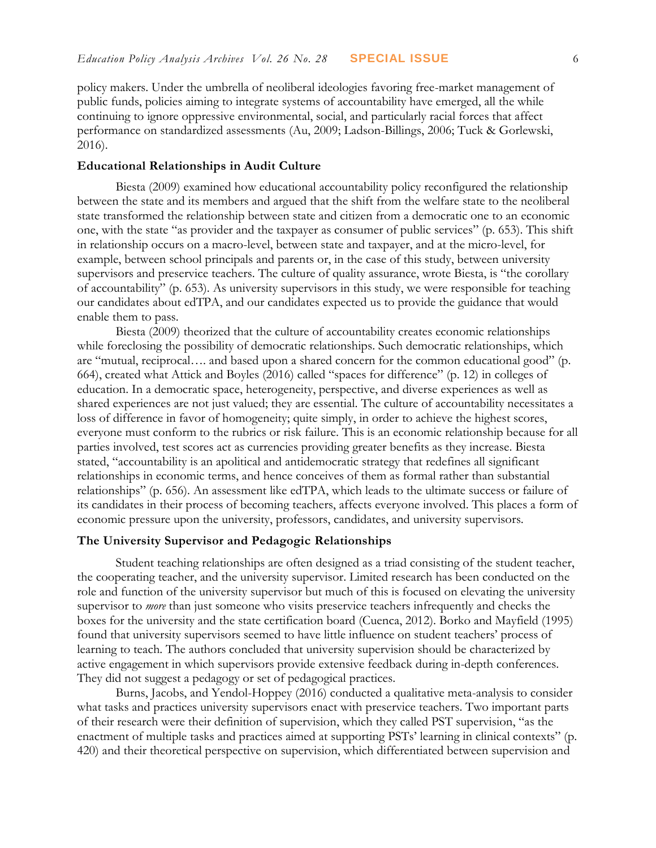policy makers. Under the umbrella of neoliberal ideologies favoring free-market management of public funds, policies aiming to integrate systems of accountability have emerged, all the while continuing to ignore oppressive environmental, social, and particularly racial forces that affect performance on standardized assessments (Au, 2009; Ladson-Billings, 2006; Tuck & Gorlewski, 2016).

### **Educational Relationships in Audit Culture**

Biesta (2009) examined how educational accountability policy reconfigured the relationship between the state and its members and argued that the shift from the welfare state to the neoliberal state transformed the relationship between state and citizen from a democratic one to an economic one, with the state "as provider and the taxpayer as consumer of public services" (p. 653). This shift in relationship occurs on a macro-level, between state and taxpayer, and at the micro-level, for example, between school principals and parents or, in the case of this study, between university supervisors and preservice teachers. The culture of quality assurance, wrote Biesta, is "the corollary of accountability" (p. 653). As university supervisors in this study, we were responsible for teaching our candidates about edTPA, and our candidates expected us to provide the guidance that would enable them to pass.

Biesta (2009) theorized that the culture of accountability creates economic relationships while foreclosing the possibility of democratic relationships. Such democratic relationships, which are "mutual, reciprocal…. and based upon a shared concern for the common educational good" (p. 664), created what Attick and Boyles (2016) called "spaces for difference" (p. 12) in colleges of education. In a democratic space, heterogeneity, perspective, and diverse experiences as well as shared experiences are not just valued; they are essential. The culture of accountability necessitates a loss of difference in favor of homogeneity; quite simply, in order to achieve the highest scores, everyone must conform to the rubrics or risk failure. This is an economic relationship because for all parties involved, test scores act as currencies providing greater benefits as they increase. Biesta stated, "accountability is an apolitical and antidemocratic strategy that redefines all significant relationships in economic terms, and hence conceives of them as formal rather than substantial relationships" (p. 656). An assessment like edTPA, which leads to the ultimate success or failure of its candidates in their process of becoming teachers, affects everyone involved. This places a form of economic pressure upon the university, professors, candidates, and university supervisors.

#### **The University Supervisor and Pedagogic Relationships**

Student teaching relationships are often designed as a triad consisting of the student teacher, the cooperating teacher, and the university supervisor. Limited research has been conducted on the role and function of the university supervisor but much of this is focused on elevating the university supervisor to *more* than just someone who visits preservice teachers infrequently and checks the boxes for the university and the state certification board (Cuenca, 2012). Borko and Mayfield (1995) found that university supervisors seemed to have little influence on student teachers' process of learning to teach. The authors concluded that university supervision should be characterized by active engagement in which supervisors provide extensive feedback during in-depth conferences. They did not suggest a pedagogy or set of pedagogical practices.

Burns, Jacobs, and Yendol-Hoppey (2016) conducted a qualitative meta-analysis to consider what tasks and practices university supervisors enact with preservice teachers. Two important parts of their research were their definition of supervision, which they called PST supervision, "as the enactment of multiple tasks and practices aimed at supporting PSTs' learning in clinical contexts" (p. 420) and their theoretical perspective on supervision, which differentiated between supervision and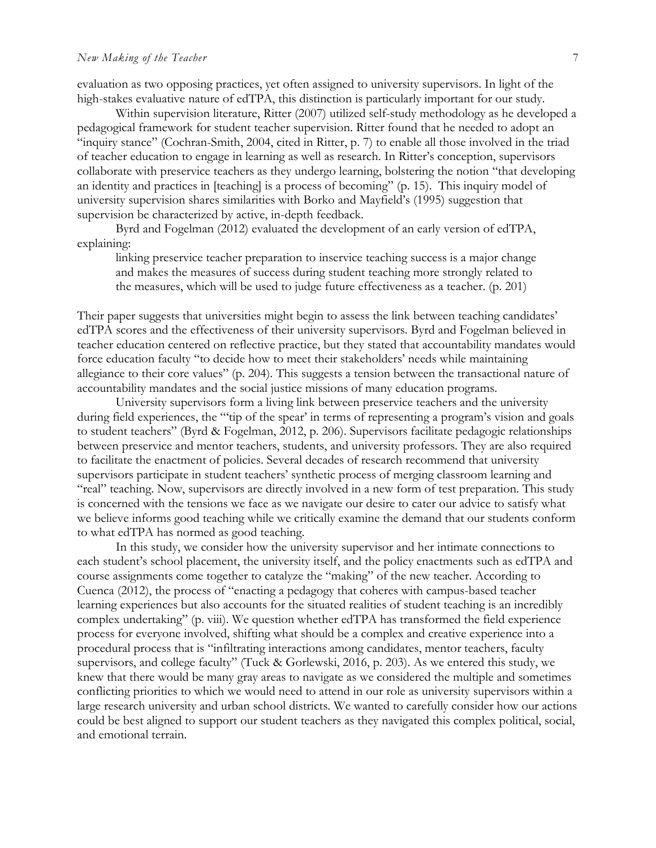evaluation as two opposing practices, yet often assigned to university supervisors. In light of the high-stakes evaluative nature of edTPA, this distinction is particularly important for our study.

Within supervision literature, Ritter (2007) utilized self-study methodology as he developed a pedagogical framework for student teacher supervision. Ritter found that he needed to adopt an "inquiry stance" (Cochran-Smith, 2004, cited in Ritter, p. 7) to enable all those involved in the triad of teacher education to engage in learning as well as research. In Ritter's conception, supervisors collaborate with preservice teachers as they undergo learning, bolstering the notion "that developing an identity and practices in [teaching] is a process of becoming" (p. 15). This inquiry model of university supervision shares similarities with Borko and Mayfield's (1995) suggestion that supervision be characterized by active, in-depth feedback.

Byrd and Fogelman (2012) evaluated the development of an early version of edTPA, explaining:

linking preservice teacher preparation to inservice teaching success is a major change and makes the measures of success during student teaching more strongly related to the measures, which will be used to judge future effectiveness as a teacher. (p. 201)

Their paper suggests that universities might begin to assess the link between teaching candidates' edTPA scores and the effectiveness of their university supervisors. Byrd and Fogelman believed in teacher education centered on reflective practice, but they stated that accountability mandates would force education faculty "to decide how to meet their stakeholders' needs while maintaining allegiance to their core values" (p. 204). This suggests a tension between the transactional nature of accountability mandates and the social justice missions of many education programs.

University supervisors form a living link between preservice teachers and the university during field experiences, the "'tip of the spear' in terms of representing a program's vision and goals to student teachers" (Byrd & Fogelman, 2012, p. 206). Supervisors facilitate pedagogic relationships between preservice and mentor teachers, students, and university professors. They are also required to facilitate the enactment of policies. Several decades of research recommend that university supervisors participate in student teachers' synthetic process of merging classroom learning and "real" teaching. Now, supervisors are directly involved in a new form of test preparation. This study is concerned with the tensions we face as we navigate our desire to cater our advice to satisfy what we believe informs good teaching while we critically examine the demand that our students conform to what edTPA has normed as good teaching.

In this study, we consider how the university supervisor and her intimate connections to each student's school placement, the university itself, and the policy enactments such as edTPA and course assignments come together to catalyze the "making" of the new teacher. According to Cuenca (2012), the process of "enacting a pedagogy that coheres with campus-based teacher learning experiences but also accounts for the situated realities of student teaching is an incredibly complex undertaking" (p. viii). We question whether edTPA has transformed the field experience process for everyone involved, shifting what should be a complex and creative experience into a procedural process that is "infiltrating interactions among candidates, mentor teachers, faculty supervisors, and college faculty" (Tuck & Gorlewski, 2016, p. 203). As we entered this study, we knew that there would be many gray areas to navigate as we considered the multiple and sometimes conflicting priorities to which we would need to attend in our role as university supervisors within a large research university and urban school districts. We wanted to carefully consider how our actions could be best aligned to support our student teachers as they navigated this complex political, social, and emotional terrain.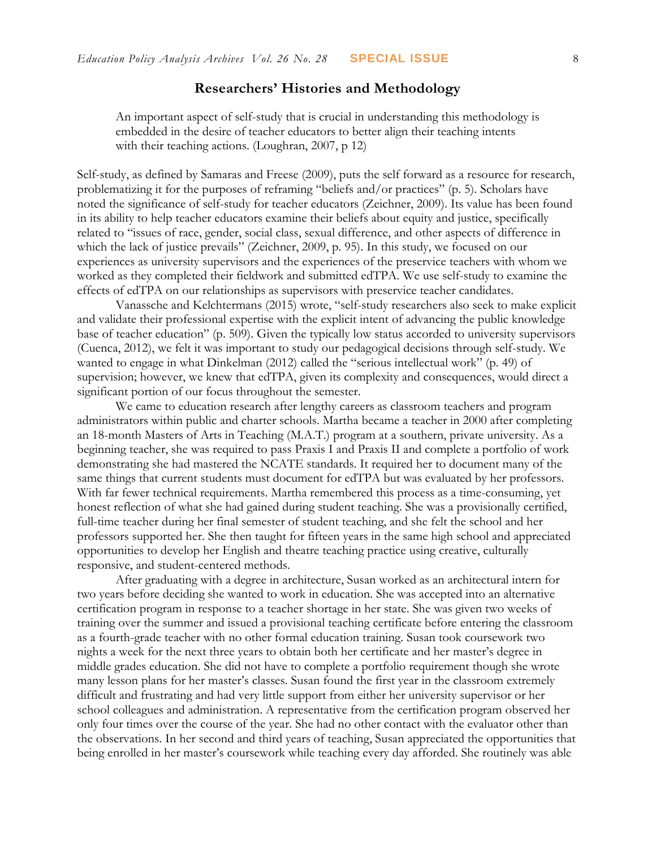# **Researchers' Histories and Methodology**

An important aspect of self-study that is crucial in understanding this methodology is embedded in the desire of teacher educators to better align their teaching intents with their teaching actions. (Loughran, 2007, p 12)

Self-study, as defined by Samaras and Freese (2009), puts the self forward as a resource for research, problematizing it for the purposes of reframing "beliefs and/or practices" (p. 5). Scholars have noted the significance of self-study for teacher educators (Zeichner, 2009). Its value has been found in its ability to help teacher educators examine their beliefs about equity and justice, specifically related to "issues of race, gender, social class, sexual difference, and other aspects of difference in which the lack of justice prevails" (Zeichner, 2009, p. 95). In this study, we focused on our experiences as university supervisors and the experiences of the preservice teachers with whom we worked as they completed their fieldwork and submitted edTPA. We use self-study to examine the effects of edTPA on our relationships as supervisors with preservice teacher candidates.

Vanassche and Kelchtermans (2015) wrote, "self-study researchers also seek to make explicit and validate their professional expertise with the explicit intent of advancing the public knowledge base of teacher education" (p. 509). Given the typically low status accorded to university supervisors (Cuenca, 2012), we felt it was important to study our pedagogical decisions through self-study. We wanted to engage in what Dinkelman (2012) called the "serious intellectual work" (p. 49) of supervision; however, we knew that edTPA, given its complexity and consequences, would direct a significant portion of our focus throughout the semester.

We came to education research after lengthy careers as classroom teachers and program administrators within public and charter schools. Martha became a teacher in 2000 after completing an 18-month Masters of Arts in Teaching (M.A.T.) program at a southern, private university. As a beginning teacher, she was required to pass Praxis I and Praxis II and complete a portfolio of work demonstrating she had mastered the NCATE standards. It required her to document many of the same things that current students must document for edTPA but was evaluated by her professors. With far fewer technical requirements. Martha remembered this process as a time-consuming, yet honest reflection of what she had gained during student teaching. She was a provisionally certified, full-time teacher during her final semester of student teaching, and she felt the school and her professors supported her. She then taught for fifteen years in the same high school and appreciated opportunities to develop her English and theatre teaching practice using creative, culturally responsive, and student-centered methods.

After graduating with a degree in architecture, Susan worked as an architectural intern for two years before deciding she wanted to work in education. She was accepted into an alternative certification program in response to a teacher shortage in her state. She was given two weeks of training over the summer and issued a provisional teaching certificate before entering the classroom as a fourth-grade teacher with no other formal education training. Susan took coursework two nights a week for the next three years to obtain both her certificate and her master's degree in middle grades education. She did not have to complete a portfolio requirement though she wrote many lesson plans for her master's classes. Susan found the first year in the classroom extremely difficult and frustrating and had very little support from either her university supervisor or her school colleagues and administration. A representative from the certification program observed her only four times over the course of the year. She had no other contact with the evaluator other than the observations. In her second and third years of teaching, Susan appreciated the opportunities that being enrolled in her master's coursework while teaching every day afforded. She routinely was able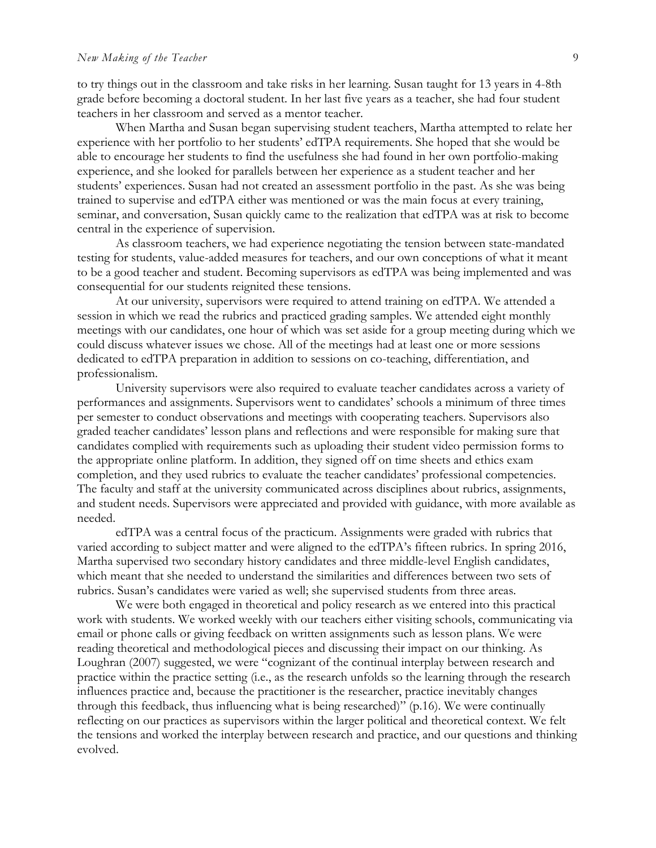#### *New Making of the Teacher* 9

to try things out in the classroom and take risks in her learning. Susan taught for 13 years in 4-8th grade before becoming a doctoral student. In her last five years as a teacher, she had four student teachers in her classroom and served as a mentor teacher.

When Martha and Susan began supervising student teachers, Martha attempted to relate her experience with her portfolio to her students' edTPA requirements. She hoped that she would be able to encourage her students to find the usefulness she had found in her own portfolio-making experience, and she looked for parallels between her experience as a student teacher and her students' experiences. Susan had not created an assessment portfolio in the past. As she was being trained to supervise and edTPA either was mentioned or was the main focus at every training, seminar, and conversation, Susan quickly came to the realization that edTPA was at risk to become central in the experience of supervision.

As classroom teachers, we had experience negotiating the tension between state-mandated testing for students, value-added measures for teachers, and our own conceptions of what it meant to be a good teacher and student. Becoming supervisors as edTPA was being implemented and was consequential for our students reignited these tensions.

At our university, supervisors were required to attend training on edTPA. We attended a session in which we read the rubrics and practiced grading samples. We attended eight monthly meetings with our candidates, one hour of which was set aside for a group meeting during which we could discuss whatever issues we chose. All of the meetings had at least one or more sessions dedicated to edTPA preparation in addition to sessions on co-teaching, differentiation, and professionalism.

University supervisors were also required to evaluate teacher candidates across a variety of performances and assignments. Supervisors went to candidates' schools a minimum of three times per semester to conduct observations and meetings with cooperating teachers. Supervisors also graded teacher candidates' lesson plans and reflections and were responsible for making sure that candidates complied with requirements such as uploading their student video permission forms to the appropriate online platform. In addition, they signed off on time sheets and ethics exam completion, and they used rubrics to evaluate the teacher candidates' professional competencies. The faculty and staff at the university communicated across disciplines about rubrics, assignments, and student needs. Supervisors were appreciated and provided with guidance, with more available as needed.

edTPA was a central focus of the practicum. Assignments were graded with rubrics that varied according to subject matter and were aligned to the edTPA's fifteen rubrics. In spring 2016, Martha supervised two secondary history candidates and three middle-level English candidates, which meant that she needed to understand the similarities and differences between two sets of rubrics. Susan's candidates were varied as well; she supervised students from three areas.

We were both engaged in theoretical and policy research as we entered into this practical work with students. We worked weekly with our teachers either visiting schools, communicating via email or phone calls or giving feedback on written assignments such as lesson plans. We were reading theoretical and methodological pieces and discussing their impact on our thinking. As Loughran (2007) suggested, we were "cognizant of the continual interplay between research and practice within the practice setting (i.e., as the research unfolds so the learning through the research influences practice and, because the practitioner is the researcher, practice inevitably changes through this feedback, thus influencing what is being researched)" (p.16). We were continually reflecting on our practices as supervisors within the larger political and theoretical context. We felt the tensions and worked the interplay between research and practice, and our questions and thinking evolved.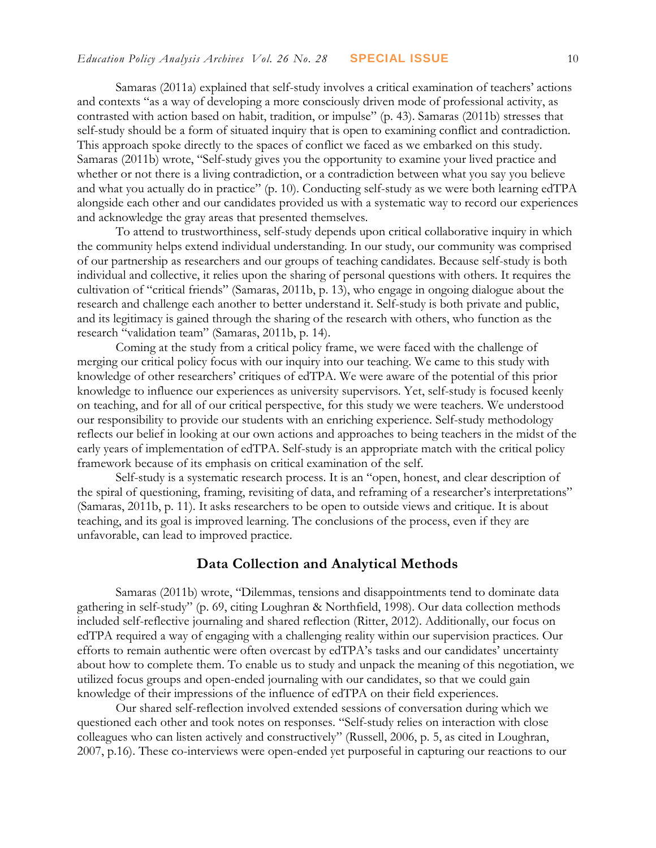Samaras (2011a) explained that self-study involves a critical examination of teachers' actions and contexts "as a way of developing a more consciously driven mode of professional activity, as contrasted with action based on habit, tradition, or impulse" (p. 43). Samaras (2011b) stresses that self-study should be a form of situated inquiry that is open to examining conflict and contradiction. This approach spoke directly to the spaces of conflict we faced as we embarked on this study. Samaras (2011b) wrote, "Self-study gives you the opportunity to examine your lived practice and whether or not there is a living contradiction, or a contradiction between what you say you believe and what you actually do in practice" (p. 10). Conducting self-study as we were both learning edTPA alongside each other and our candidates provided us with a systematic way to record our experiences and acknowledge the gray areas that presented themselves.

To attend to trustworthiness, self-study depends upon critical collaborative inquiry in which the community helps extend individual understanding. In our study, our community was comprised of our partnership as researchers and our groups of teaching candidates. Because self-study is both individual and collective, it relies upon the sharing of personal questions with others. It requires the cultivation of "critical friends" (Samaras, 2011b, p. 13), who engage in ongoing dialogue about the research and challenge each another to better understand it. Self-study is both private and public, and its legitimacy is gained through the sharing of the research with others, who function as the research "validation team" (Samaras, 2011b, p. 14).

Coming at the study from a critical policy frame, we were faced with the challenge of merging our critical policy focus with our inquiry into our teaching. We came to this study with knowledge of other researchers' critiques of edTPA. We were aware of the potential of this prior knowledge to influence our experiences as university supervisors. Yet, self-study is focused keenly on teaching, and for all of our critical perspective, for this study we were teachers. We understood our responsibility to provide our students with an enriching experience. Self-study methodology reflects our belief in looking at our own actions and approaches to being teachers in the midst of the early years of implementation of edTPA. Self-study is an appropriate match with the critical policy framework because of its emphasis on critical examination of the self.

Self-study is a systematic research process. It is an "open, honest, and clear description of the spiral of questioning, framing, revisiting of data, and reframing of a researcher's interpretations" (Samaras, 2011b, p. 11). It asks researchers to be open to outside views and critique. It is about teaching, and its goal is improved learning. The conclusions of the process, even if they are unfavorable, can lead to improved practice.

## **Data Collection and Analytical Methods**

Samaras (2011b) wrote, "Dilemmas, tensions and disappointments tend to dominate data gathering in self-study" (p. 69, citing Loughran & Northfield, 1998). Our data collection methods included self-reflective journaling and shared reflection (Ritter, 2012). Additionally, our focus on edTPA required a way of engaging with a challenging reality within our supervision practices. Our efforts to remain authentic were often overcast by edTPA's tasks and our candidates' uncertainty about how to complete them. To enable us to study and unpack the meaning of this negotiation, we utilized focus groups and open-ended journaling with our candidates, so that we could gain knowledge of their impressions of the influence of edTPA on their field experiences.

Our shared self-reflection involved extended sessions of conversation during which we questioned each other and took notes on responses. "Self-study relies on interaction with close colleagues who can listen actively and constructively" (Russell, 2006, p. 5, as cited in Loughran, 2007, p.16). These co-interviews were open-ended yet purposeful in capturing our reactions to our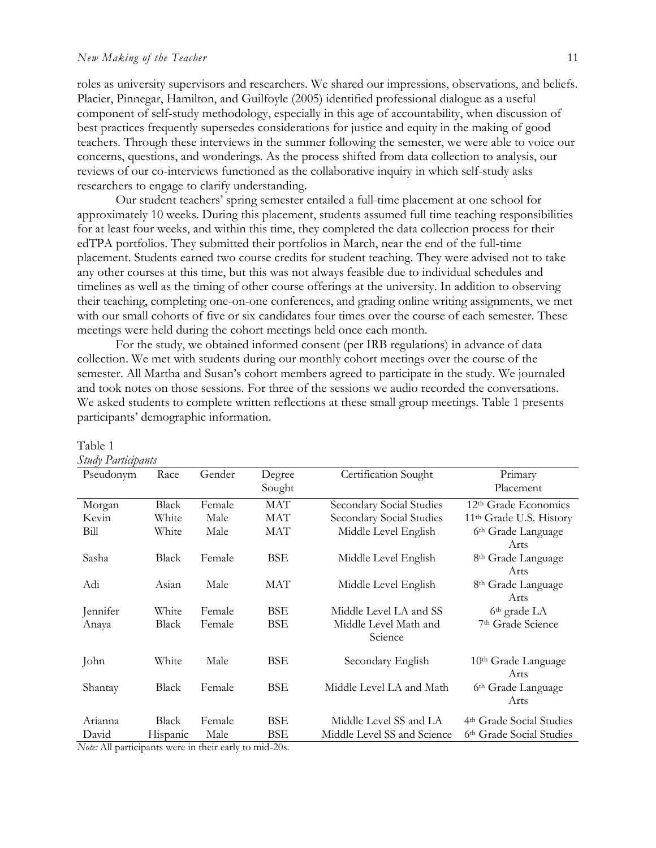#### *New Making of the Teacher* 11

roles as university supervisors and researchers. We shared our impressions, observations, and beliefs. Placier, Pinnegar, Hamilton, and Guilfoyle (2005) identified professional dialogue as a useful component of self-study methodology, especially in this age of accountability, when discussion of best practices frequently supersedes considerations for justice and equity in the making of good teachers. Through these interviews in the summer following the semester, we were able to voice our concerns, questions, and wonderings. As the process shifted from data collection to analysis, our reviews of our co-interviews functioned as the collaborative inquiry in which self-study asks researchers to engage to clarify understanding.

Our student teachers' spring semester entailed a full-time placement at one school for approximately 10 weeks. During this placement, students assumed full time teaching responsibilities for at least four weeks, and within this time, they completed the data collection process for their edTPA portfolios. They submitted their portfolios in March, near the end of the full-time placement. Students earned two course credits for student teaching. They were advised not to take any other courses at this time, but this was not always feasible due to individual schedules and timelines as well as the timing of other course offerings at the university. In addition to observing their teaching, completing one-on-one conferences, and grading online writing assignments, we met with our small cohorts of five or six candidates four times over the course of each semester. These meetings were held during the cohort meetings held once each month.

For the study, we obtained informed consent (per IRB regulations) in advance of data collection. We met with students during our monthly cohort meetings over the course of the semester. All Martha and Susan's cohort members agreed to participate in the study. We journaled and took notes on those sessions. For three of the sessions we audio recorded the conversations. We asked students to complete written reflections at these small group meetings. Table 1 presents participants' demographic information.

| Study Participants<br>Pseudonym | Race     | Gender | Degree     | Certification Sought             | Primary                                 |
|---------------------------------|----------|--------|------------|----------------------------------|-----------------------------------------|
|                                 |          |        | Sought     |                                  | Placement                               |
| Morgan                          | Black    | Female | <b>MAT</b> | Secondary Social Studies         | 12 <sup>th</sup> Grade Economics        |
| Kevin                           | White    | Male   | <b>MAT</b> | Secondary Social Studies         | 11 <sup>th</sup> Grade U.S. History     |
| Bill                            | White    | Male   | <b>MAT</b> | Middle Level English             | 6 <sup>th</sup> Grade Language          |
|                                 |          |        |            |                                  | Arts                                    |
| Sasha                           | Black    | Female | BSE        | Middle Level English             | 8 <sup>th</sup> Grade Language          |
|                                 |          |        |            |                                  | Arts                                    |
| Adi                             | Asian    | Male   | MAT        | Middle Level English             | 8 <sup>th</sup> Grade Language          |
|                                 |          |        |            |                                  | Arts                                    |
| Jennifer                        | White    | Female | <b>BSE</b> | Middle Level LA and SS           | $6th$ grade LA                          |
| Anaya                           | Black    | Female | <b>BSE</b> | Middle Level Math and<br>Science | 7 <sup>th</sup> Grade Science           |
| John                            | White    | Male   | <b>BSE</b> | Secondary English                | 10 <sup>th</sup> Grade Language<br>Arts |
| Shantay                         | Black    | Female | <b>BSE</b> | Middle Level LA and Math         | 6 <sup>th</sup> Grade Language<br>Arts  |
| Arianna                         | Black    | Female | <b>BSE</b> | Middle Level SS and LA           | 4 <sup>th</sup> Grade Social Studies    |
| David                           | Hispanic | Male   | <b>BSE</b> | Middle Level SS and Science      | 6th Grade Social Studies                |

Table 1 *Study Participants* 

*Note:* All participants were in their early to mid-20s.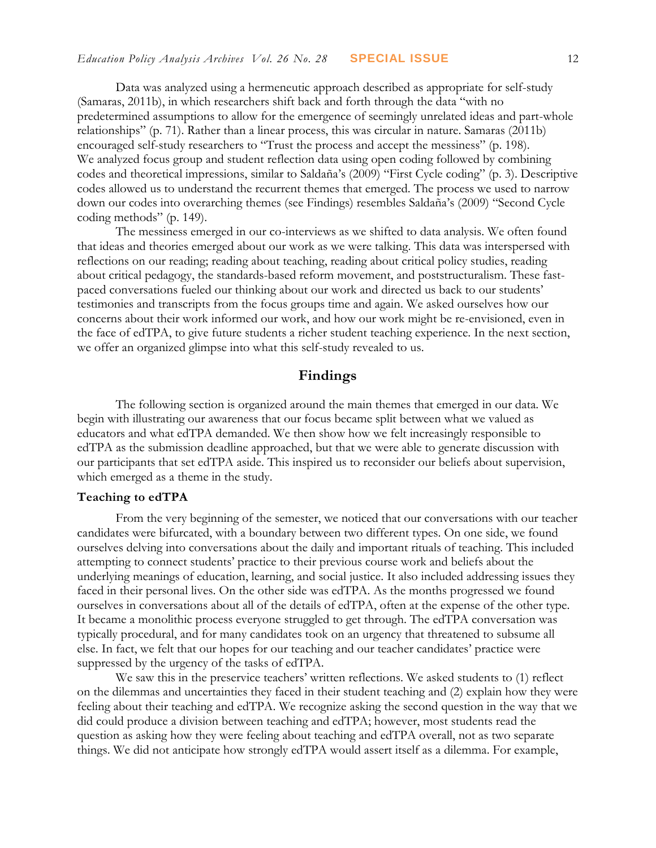Data was analyzed using a hermeneutic approach described as appropriate for self-study (Samaras, 2011b), in which researchers shift back and forth through the data "with no predetermined assumptions to allow for the emergence of seemingly unrelated ideas and part-whole relationships" (p. 71). Rather than a linear process, this was circular in nature. Samaras (2011b) encouraged self-study researchers to "Trust the process and accept the messiness" (p. 198). We analyzed focus group and student reflection data using open coding followed by combining codes and theoretical impressions, similar to Saldaña's (2009) "First Cycle coding" (p. 3). Descriptive codes allowed us to understand the recurrent themes that emerged. The process we used to narrow down our codes into overarching themes (see Findings) resembles Saldaña's (2009) "Second Cycle coding methods" (p. 149).

The messiness emerged in our co-interviews as we shifted to data analysis. We often found that ideas and theories emerged about our work as we were talking. This data was interspersed with reflections on our reading; reading about teaching, reading about critical policy studies, reading about critical pedagogy, the standards-based reform movement, and poststructuralism. These fastpaced conversations fueled our thinking about our work and directed us back to our students' testimonies and transcripts from the focus groups time and again. We asked ourselves how our concerns about their work informed our work, and how our work might be re-envisioned, even in the face of edTPA, to give future students a richer student teaching experience. In the next section, we offer an organized glimpse into what this self-study revealed to us.

# **Findings**

The following section is organized around the main themes that emerged in our data. We begin with illustrating our awareness that our focus became split between what we valued as educators and what edTPA demanded. We then show how we felt increasingly responsible to edTPA as the submission deadline approached, but that we were able to generate discussion with our participants that set edTPA aside. This inspired us to reconsider our beliefs about supervision, which emerged as a theme in the study.

#### **Teaching to edTPA**

From the very beginning of the semester, we noticed that our conversations with our teacher candidates were bifurcated, with a boundary between two different types. On one side, we found ourselves delving into conversations about the daily and important rituals of teaching. This included attempting to connect students' practice to their previous course work and beliefs about the underlying meanings of education, learning, and social justice. It also included addressing issues they faced in their personal lives. On the other side was edTPA. As the months progressed we found ourselves in conversations about all of the details of edTPA, often at the expense of the other type. It became a monolithic process everyone struggled to get through. The edTPA conversation was typically procedural, and for many candidates took on an urgency that threatened to subsume all else. In fact, we felt that our hopes for our teaching and our teacher candidates' practice were suppressed by the urgency of the tasks of edTPA.

We saw this in the preservice teachers' written reflections. We asked students to (1) reflect on the dilemmas and uncertainties they faced in their student teaching and (2) explain how they were feeling about their teaching and edTPA. We recognize asking the second question in the way that we did could produce a division between teaching and edTPA; however, most students read the question as asking how they were feeling about teaching and edTPA overall, not as two separate things. We did not anticipate how strongly edTPA would assert itself as a dilemma. For example,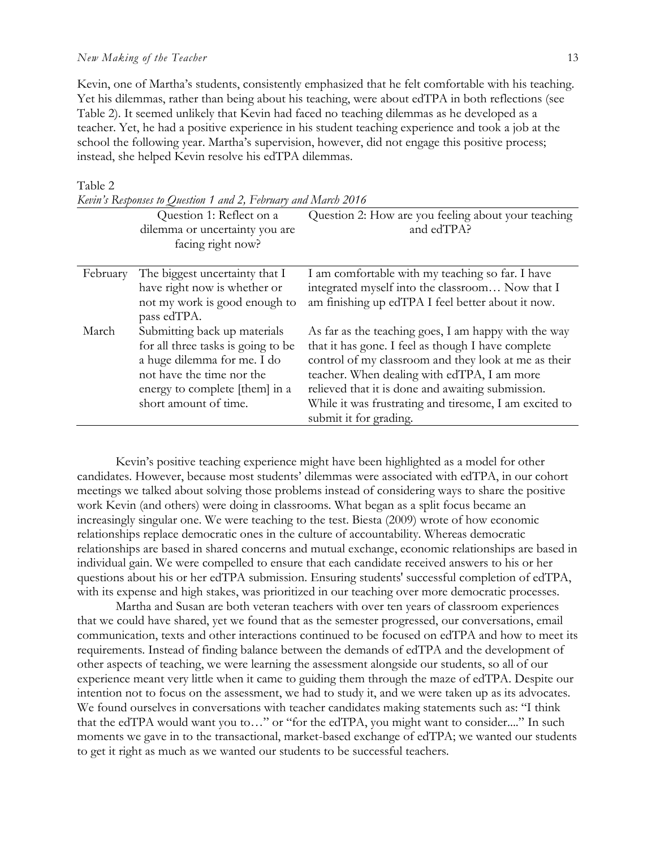#### *New Making of the Teacher* 13

Kevin, one of Martha's students, consistently emphasized that he felt comfortable with his teaching. Yet his dilemmas, rather than being about his teaching, were about edTPA in both reflections (see Table 2). It seemed unlikely that Kevin had faced no teaching dilemmas as he developed as a teacher. Yet, he had a positive experience in his student teaching experience and took a job at the school the following year. Martha's supervision, however, did not engage this positive process; instead, she helped Kevin resolve his edTPA dilemmas.

#### Table 2

|          | Question 1: Reflect on a<br>dilemma or uncertainty you are<br>facing right now?                                                                                                           | Question 2: How are you feeling about your teaching<br>and edTPA?                                                                                                                                                                                                                                                                                          |
|----------|-------------------------------------------------------------------------------------------------------------------------------------------------------------------------------------------|------------------------------------------------------------------------------------------------------------------------------------------------------------------------------------------------------------------------------------------------------------------------------------------------------------------------------------------------------------|
| February | The biggest uncertainty that I<br>have right now is whether or<br>not my work is good enough to<br>pass edTPA.                                                                            | I am comfortable with my teaching so far. I have<br>integrated myself into the classroom Now that I<br>am finishing up edTPA I feel better about it now.                                                                                                                                                                                                   |
| March    | Submitting back up materials<br>for all three tasks is going to be<br>a huge dilemma for me. I do<br>not have the time nor the<br>energy to complete [them] in a<br>short amount of time. | As far as the teaching goes, I am happy with the way<br>that it has gone. I feel as though I have complete<br>control of my classroom and they look at me as their<br>teacher. When dealing with edTPA, I am more<br>relieved that it is done and awaiting submission.<br>While it was frustrating and tiresome, I am excited to<br>submit it for grading. |

*Kevin's Responses to Question 1 and 2, February and March 2016*

Kevin's positive teaching experience might have been highlighted as a model for other candidates. However, because most students' dilemmas were associated with edTPA, in our cohort meetings we talked about solving those problems instead of considering ways to share the positive work Kevin (and others) were doing in classrooms. What began as a split focus became an increasingly singular one. We were teaching to the test. Biesta (2009) wrote of how economic relationships replace democratic ones in the culture of accountability. Whereas democratic relationships are based in shared concerns and mutual exchange, economic relationships are based in individual gain. We were compelled to ensure that each candidate received answers to his or her questions about his or her edTPA submission. Ensuring students' successful completion of edTPA, with its expense and high stakes, was prioritized in our teaching over more democratic processes.

Martha and Susan are both veteran teachers with over ten years of classroom experiences that we could have shared, yet we found that as the semester progressed, our conversations, email communication, texts and other interactions continued to be focused on edTPA and how to meet its requirements. Instead of finding balance between the demands of edTPA and the development of other aspects of teaching, we were learning the assessment alongside our students, so all of our experience meant very little when it came to guiding them through the maze of edTPA. Despite our intention not to focus on the assessment, we had to study it, and we were taken up as its advocates. We found ourselves in conversations with teacher candidates making statements such as: "I think that the edTPA would want you to…" or "for the edTPA, you might want to consider...." In such moments we gave in to the transactional, market-based exchange of edTPA; we wanted our students to get it right as much as we wanted our students to be successful teachers.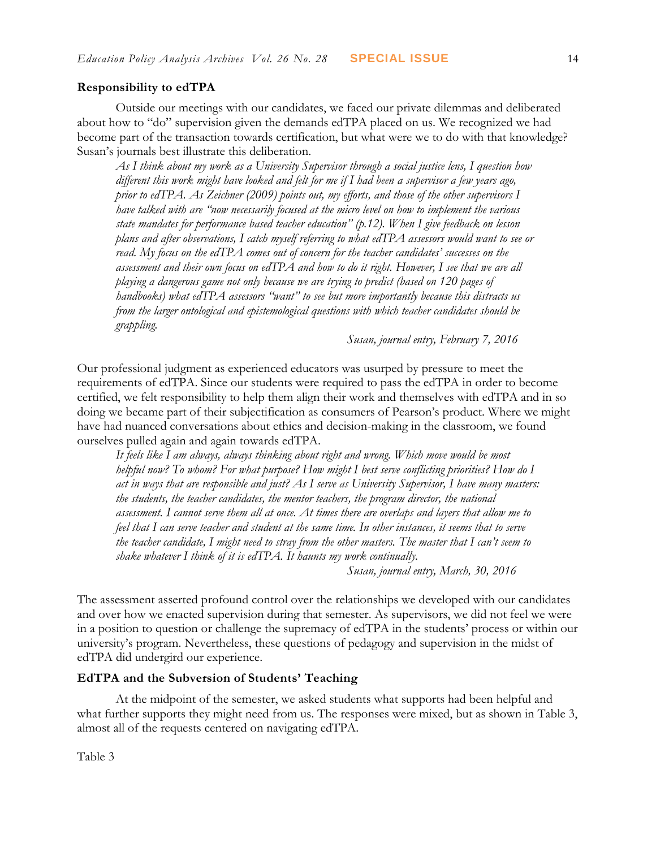#### **Responsibility to edTPA**

Outside our meetings with our candidates, we faced our private dilemmas and deliberated about how to "do" supervision given the demands edTPA placed on us. We recognized we had become part of the transaction towards certification, but what were we to do with that knowledge? Susan's journals best illustrate this deliberation.

*As I think about my work as a University Supervisor through a social justice lens, I question how different this work might have looked and felt for me if I had been a supervisor a few years ago, prior to edTPA. As Zeichner (2009) points out, my efforts, and those of the other supervisors I have talked with are "now necessarily focused at the micro level on how to implement the various state mandates for performance based teacher education" (p.12). When I give feedback on lesson plans and after observations, I catch myself referring to what edTPA assessors would want to see or read. My focus on the edTPA comes out of concern for the teacher candidates' successes on the assessment and their own focus on edTPA and how to do it right. However, I see that we are all playing a dangerous game not only because we are trying to predict (based on 120 pages of handbooks) what edTPA assessors "want" to see but more importantly because this distracts us from the larger ontological and epistemological questions with which teacher candidates should be grappling.*

*Susan, journal entry, February 7, 2016*

Our professional judgment as experienced educators was usurped by pressure to meet the requirements of edTPA. Since our students were required to pass the edTPA in order to become certified, we felt responsibility to help them align their work and themselves with edTPA and in so doing we became part of their subjectification as consumers of Pearson's product. Where we might have had nuanced conversations about ethics and decision-making in the classroom, we found ourselves pulled again and again towards edTPA.

*It feels like I am always, always thinking about right and wrong. Which move would be most helpful now? To whom? For what purpose? How might I best serve conflicting priorities? How do I act in ways that are responsible and just? As I serve as University Supervisor, I have many masters: the students, the teacher candidates, the mentor teachers, the program director, the national assessment. I cannot serve them all at once. At times there are overlaps and layers that allow me to feel that I can serve teacher and student at the same time. In other instances, it seems that to serve the teacher candidate, I might need to stray from the other masters. The master that I can't seem to shake whatever I think of it is edTPA. It haunts my work continually.*

*Susan, journal entry, March, 30, 2016*

The assessment asserted profound control over the relationships we developed with our candidates and over how we enacted supervision during that semester. As supervisors, we did not feel we were in a position to question or challenge the supremacy of edTPA in the students' process or within our university's program. Nevertheless, these questions of pedagogy and supervision in the midst of edTPA did undergird our experience.

# **EdTPA and the Subversion of Students' Teaching**

At the midpoint of the semester, we asked students what supports had been helpful and what further supports they might need from us. The responses were mixed, but as shown in Table 3, almost all of the requests centered on navigating edTPA.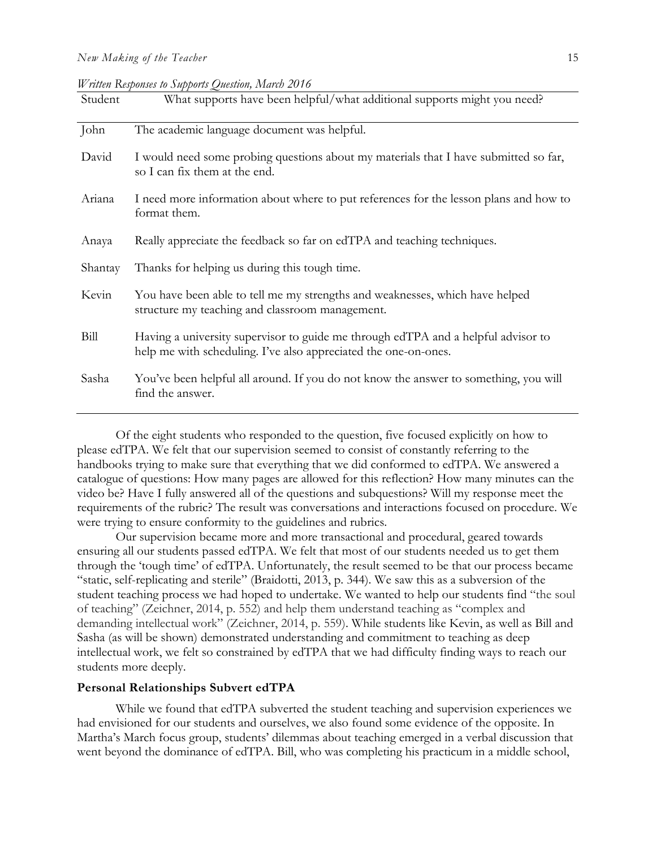|  | Written Responses to Supports Question, March 2016 |  |  |
|--|----------------------------------------------------|--|--|
|  |                                                    |  |  |

| Student | What supports have been helpful/what additional supports might you need?                                                                             |
|---------|------------------------------------------------------------------------------------------------------------------------------------------------------|
| John    | The academic language document was helpful.                                                                                                          |
| David   | I would need some probing questions about my materials that I have submitted so far,<br>so I can fix them at the end.                                |
| Ariana  | I need more information about where to put references for the lesson plans and how to<br>format them.                                                |
| Anaya   | Really appreciate the feedback so far on edTPA and teaching techniques.                                                                              |
| Shantay | Thanks for helping us during this tough time.                                                                                                        |
| Kevin   | You have been able to tell me my strengths and weaknesses, which have helped<br>structure my teaching and classroom management.                      |
| Bill    | Having a university supervisor to guide me through edTPA and a helpful advisor to<br>help me with scheduling. I've also appreciated the one-on-ones. |
| Sasha   | You've been helpful all around. If you do not know the answer to something, you will<br>find the answer.                                             |

Of the eight students who responded to the question, five focused explicitly on how to please edTPA. We felt that our supervision seemed to consist of constantly referring to the handbooks trying to make sure that everything that we did conformed to edTPA. We answered a catalogue of questions: How many pages are allowed for this reflection? How many minutes can the video be? Have I fully answered all of the questions and subquestions? Will my response meet the requirements of the rubric? The result was conversations and interactions focused on procedure. We were trying to ensure conformity to the guidelines and rubrics.

Our supervision became more and more transactional and procedural, geared towards ensuring all our students passed edTPA. We felt that most of our students needed us to get them through the 'tough time' of edTPA. Unfortunately, the result seemed to be that our process became "static, self-replicating and sterile" (Braidotti, 2013, p. 344). We saw this as a subversion of the student teaching process we had hoped to undertake. We wanted to help our students find "the soul of teaching" (Zeichner, 2014, p. 552) and help them understand teaching as "complex and demanding intellectual work" (Zeichner, 2014, p. 559). While students like Kevin, as well as Bill and Sasha (as will be shown) demonstrated understanding and commitment to teaching as deep intellectual work, we felt so constrained by edTPA that we had difficulty finding ways to reach our students more deeply.

#### **Personal Relationships Subvert edTPA**

While we found that edTPA subverted the student teaching and supervision experiences we had envisioned for our students and ourselves, we also found some evidence of the opposite. In Martha's March focus group, students' dilemmas about teaching emerged in a verbal discussion that went beyond the dominance of edTPA. Bill, who was completing his practicum in a middle school,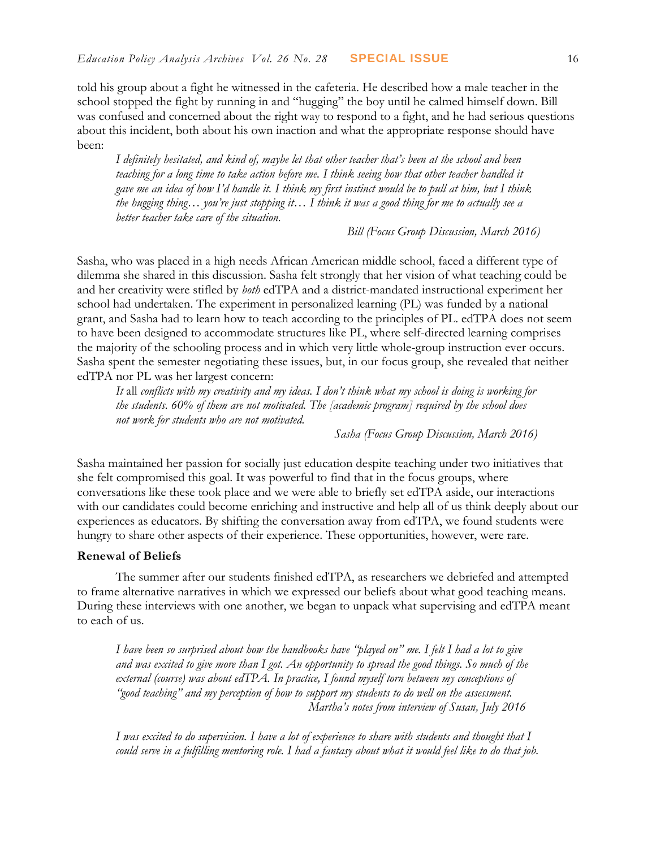told his group about a fight he witnessed in the cafeteria. He described how a male teacher in the school stopped the fight by running in and "hugging" the boy until he calmed himself down. Bill was confused and concerned about the right way to respond to a fight, and he had serious questions about this incident, both about his own inaction and what the appropriate response should have been:

*I definitely hesitated, and kind of, maybe let that other teacher that's been at the school and been teaching for a long time to take action before me. I think seeing how that other teacher handled it gave me an idea of how I'd handle it. I think my first instinct would be to pull at him, but I think the hugging thing… you're just stopping it… I think it was a good thing for me to actually see a better teacher take care of the situation.*

*Bill (Focus Group Discussion, March 2016)*

Sasha, who was placed in a high needs African American middle school, faced a different type of dilemma she shared in this discussion. Sasha felt strongly that her vision of what teaching could be and her creativity were stifled by *both* edTPA and a district-mandated instructional experiment her school had undertaken. The experiment in personalized learning (PL) was funded by a national grant, and Sasha had to learn how to teach according to the principles of PL. edTPA does not seem to have been designed to accommodate structures like PL, where self-directed learning comprises the majority of the schooling process and in which very little whole-group instruction ever occurs. Sasha spent the semester negotiating these issues, but, in our focus group, she revealed that neither edTPA nor PL was her largest concern:

*It* all *conflicts with my creativity and my ideas. I don't think what my school is doing is working for the students. 60% of them are not motivated. The [academic program] required by the school does not work for students who are not motivated.*

 *Sasha (Focus Group Discussion, March 2016)*

Sasha maintained her passion for socially just education despite teaching under two initiatives that she felt compromised this goal. It was powerful to find that in the focus groups, where conversations like these took place and we were able to briefly set edTPA aside, our interactions with our candidates could become enriching and instructive and help all of us think deeply about our experiences as educators. By shifting the conversation away from edTPA, we found students were hungry to share other aspects of their experience. These opportunities, however, were rare.

### **Renewal of Beliefs**

The summer after our students finished edTPA, as researchers we debriefed and attempted to frame alternative narratives in which we expressed our beliefs about what good teaching means. During these interviews with one another, we began to unpack what supervising and edTPA meant to each of us.

*I have been so surprised about how the handbooks have "played on" me. I felt I had a lot to give and was excited to give more than I got. An opportunity to spread the good things. So much of the external (course) was about edTPA. In practice, I found myself torn between my conceptions of "good teaching" and my perception of how to support my students to do well on the assessment. Martha's notes from interview of Susan, July 2016*

*I was excited to do supervision. I have a lot of experience to share with students and thought that I could serve in a fulfilling mentoring role. I had a fantasy about what it would feel like to do that job.*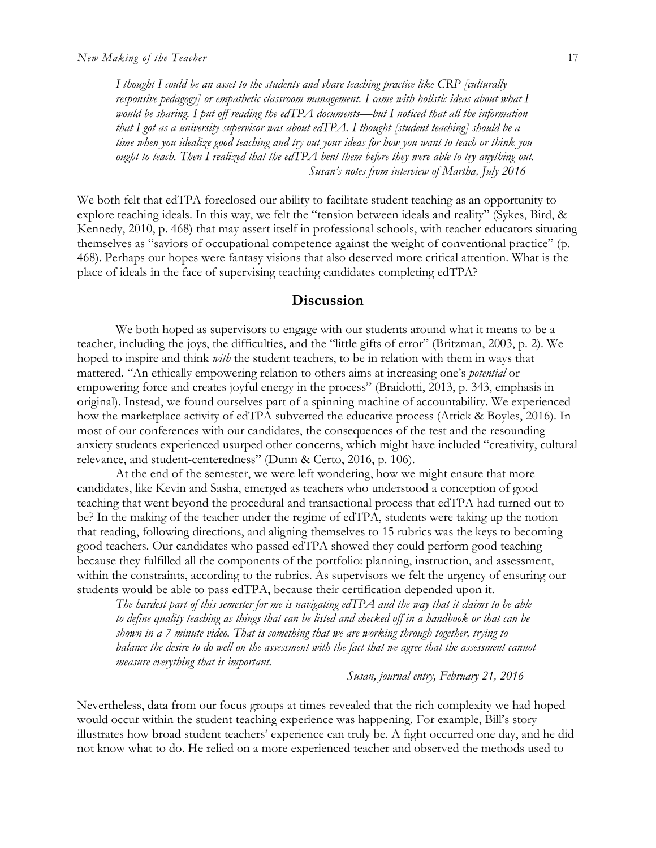*I thought I could be an asset to the students and share teaching practice like CRP [culturally responsive pedagogy] or empathetic classroom management. I came with holistic ideas about what I would be sharing. I put off reading the edTPA documents—but I noticed that all the information that I got as a university supervisor was about edTPA. I thought [student teaching] should be a time when you idealize good teaching and try out your ideas for how you want to teach or think you ought to teach. Then I realized that the edTPA bent them before they were able to try anything out. Susan's notes from interview of Martha, July 2016*

We both felt that edTPA foreclosed our ability to facilitate student teaching as an opportunity to explore teaching ideals. In this way, we felt the "tension between ideals and reality" (Sykes, Bird, & Kennedy, 2010, p. 468) that may assert itself in professional schools, with teacher educators situating themselves as "saviors of occupational competence against the weight of conventional practice" (p. 468). Perhaps our hopes were fantasy visions that also deserved more critical attention. What is the place of ideals in the face of supervising teaching candidates completing edTPA?

# **Discussion**

We both hoped as supervisors to engage with our students around what it means to be a teacher, including the joys, the difficulties, and the "little gifts of error" (Britzman, 2003, p. 2). We hoped to inspire and think *with* the student teachers, to be in relation with them in ways that mattered. "An ethically empowering relation to others aims at increasing one's *potential* or empowering force and creates joyful energy in the process" (Braidotti, 2013, p. 343, emphasis in original). Instead, we found ourselves part of a spinning machine of accountability. We experienced how the marketplace activity of edTPA subverted the educative process (Attick & Boyles, 2016). In most of our conferences with our candidates, the consequences of the test and the resounding anxiety students experienced usurped other concerns, which might have included "creativity, cultural relevance, and student-centeredness" (Dunn & Certo, 2016, p. 106).

At the end of the semester, we were left wondering, how we might ensure that more candidates, like Kevin and Sasha, emerged as teachers who understood a conception of good teaching that went beyond the procedural and transactional process that edTPA had turned out to be? In the making of the teacher under the regime of edTPA, students were taking up the notion that reading, following directions, and aligning themselves to 15 rubrics was the keys to becoming good teachers. Our candidates who passed edTPA showed they could perform good teaching because they fulfilled all the components of the portfolio: planning, instruction, and assessment, within the constraints, according to the rubrics. As supervisors we felt the urgency of ensuring our students would be able to pass edTPA, because their certification depended upon it.

*The hardest part of this semester for me is navigating edTPA and the way that it claims to be able to define quality teaching as things that can be listed and checked off in a handbook or that can be shown in a 7 minute video. That is something that we are working through together, trying to*  balance the desire to do well on the assessment with the fact that we agree that the assessment cannot *measure everything that is important.*

*Susan, journal entry, February 21, 2016*

Nevertheless, data from our focus groups at times revealed that the rich complexity we had hoped would occur within the student teaching experience was happening. For example, Bill's story illustrates how broad student teachers' experience can truly be. A fight occurred one day, and he did not know what to do. He relied on a more experienced teacher and observed the methods used to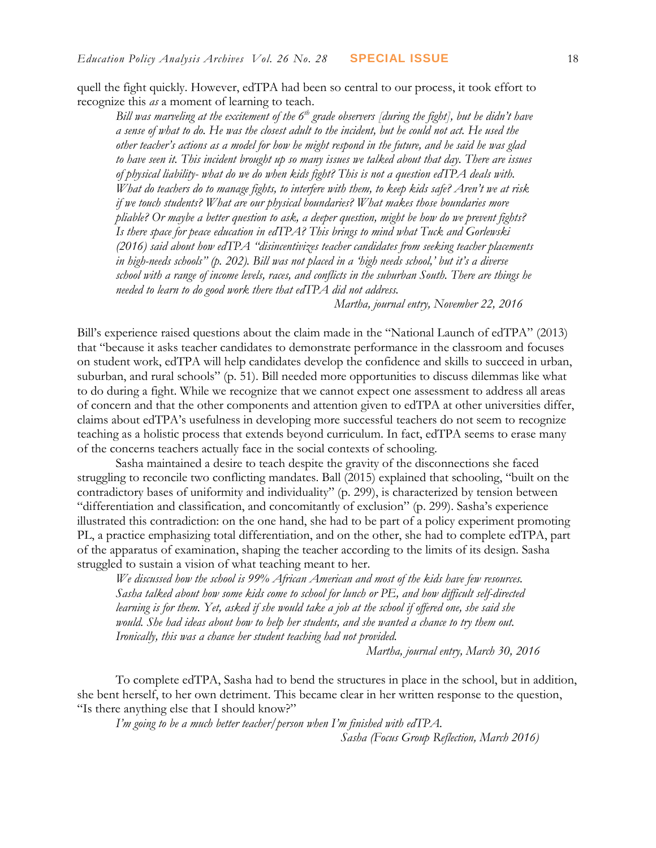quell the fight quickly. However, edTPA had been so central to our process, it took effort to recognize this *as* a moment of learning to teach.

*Bill was marveling at the excitement of the 6th grade observers [during the fight], but he didn't have a sense of what to do. He was the closest adult to the incident, but he could not act. He used the other teacher's actions as a model for how he might respond in the future, and he said he was glad to have seen it. This incident brought up so many issues we talked about that day. There are issues of physical liability- what do we do when kids fight? This is not a question edTPA deals with. What do teachers do to manage fights, to interfere with them, to keep kids safe? Aren't we at risk if we touch students? What are our physical boundaries? What makes those boundaries more pliable? Or maybe a better question to ask, a deeper question, might be how do we prevent fights? Is there space for peace education in edTPA? This brings to mind what Tuck and Gorlewski (2016) said about how edTPA "disincentivizes teacher candidates from seeking teacher placements in high-needs schools" (p. 202). Bill was not placed in a 'high needs school,' but it's a diverse school with a range of income levels, races, and conflicts in the suburban South. There are things he needed to learn to do good work there that edTPA did not address.* 

 *Martha, journal entry, November 22, 2016*

Bill's experience raised questions about the claim made in the "National Launch of edTPA" (2013) that "because it asks teacher candidates to demonstrate performance in the classroom and focuses on student work, edTPA will help candidates develop the confidence and skills to succeed in urban, suburban, and rural schools" (p. 51). Bill needed more opportunities to discuss dilemmas like what to do during a fight. While we recognize that we cannot expect one assessment to address all areas of concern and that the other components and attention given to edTPA at other universities differ, claims about edTPA's usefulness in developing more successful teachers do not seem to recognize teaching as a holistic process that extends beyond curriculum. In fact, edTPA seems to erase many of the concerns teachers actually face in the social contexts of schooling.

Sasha maintained a desire to teach despite the gravity of the disconnections she faced struggling to reconcile two conflicting mandates. Ball (2015) explained that schooling, "built on the contradictory bases of uniformity and individuality" (p. 299), is characterized by tension between "differentiation and classification, and concomitantly of exclusion" (p. 299). Sasha's experience illustrated this contradiction: on the one hand, she had to be part of a policy experiment promoting PL, a practice emphasizing total differentiation, and on the other, she had to complete edTPA, part of the apparatus of examination, shaping the teacher according to the limits of its design. Sasha struggled to sustain a vision of what teaching meant to her.

*We discussed how the school is 99% African American and most of the kids have few resources. Sasha talked about how some kids come to school for lunch or PE, and how difficult self-directed learning is for them. Yet, asked if she would take a job at the school if offered one, she said she would. She had ideas about how to help her students, and she wanted a chance to try them out. Ironically, this was a chance her student teaching had not provided.*

 *Martha, journal entry, March 30, 2016*

To complete edTPA, Sasha had to bend the structures in place in the school, but in addition, she bent herself, to her own detriment. This became clear in her written response to the question, "Is there anything else that I should know?"

*I'm going to be a much better teacher/person when I'm finished with edTPA.*

*Sasha (Focus Group Reflection, March 2016)*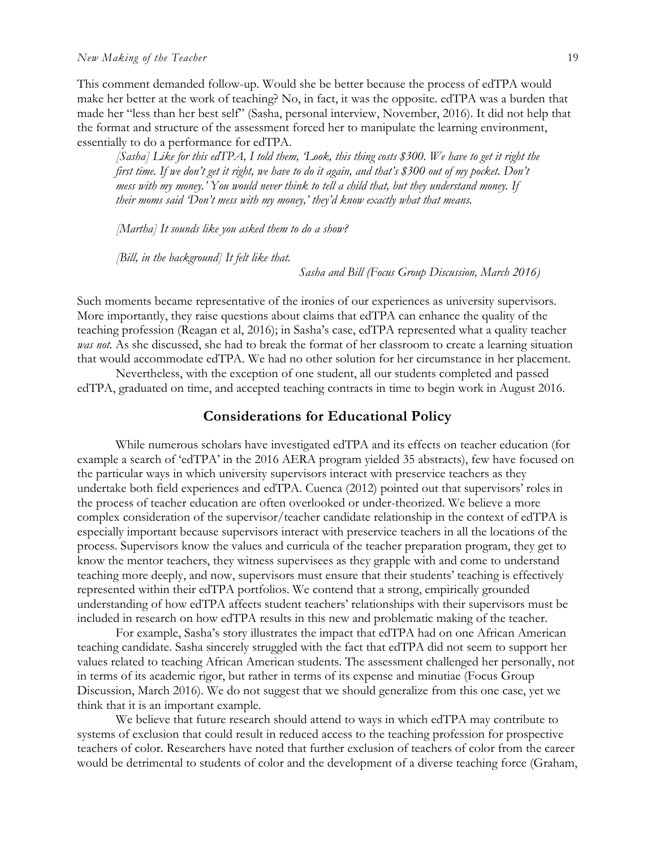This comment demanded follow-up. Would she be better because the process of edTPA would make her better at the work of teaching? No, in fact, it was the opposite. edTPA was a burden that made her "less than her best self" (Sasha, personal interview, November, 2016). It did not help that the format and structure of the assessment forced her to manipulate the learning environment, essentially to do a performance for edTPA.

*[Sasha] Like for this edTPA, I told them, 'Look, this thing costs \$300. We have to get it right the first time. If we don't get it right, we have to do it again, and that's \$300 out of my pocket. Don't mess with my money.' You would never think to tell a child that, but they understand money. If their moms said 'Don't mess with my money,' they'd know exactly what that means.*

*[Martha] It sounds like you asked them to do a show?*

*[Bill, in the background] It felt like that.*

 *Sasha and Bill (Focus Group Discussion, March 2016)*

Such moments became representative of the ironies of our experiences as university supervisors. More importantly, they raise questions about claims that edTPA can enhance the quality of the teaching profession (Reagan et al, 2016); in Sasha's case, edTPA represented what a quality teacher *was not*. As she discussed, she had to break the format of her classroom to create a learning situation that would accommodate edTPA. We had no other solution for her circumstance in her placement.

Nevertheless, with the exception of one student, all our students completed and passed edTPA, graduated on time, and accepted teaching contracts in time to begin work in August 2016.

## **Considerations for Educational Policy**

While numerous scholars have investigated edTPA and its effects on teacher education (for example a search of 'edTPA' in the 2016 AERA program yielded 35 abstracts), few have focused on the particular ways in which university supervisors interact with preservice teachers as they undertake both field experiences and edTPA. Cuenca (2012) pointed out that supervisors' roles in the process of teacher education are often overlooked or under-theorized. We believe a more complex consideration of the supervisor/teacher candidate relationship in the context of edTPA is especially important because supervisors interact with preservice teachers in all the locations of the process. Supervisors know the values and curricula of the teacher preparation program, they get to know the mentor teachers, they witness supervisees as they grapple with and come to understand teaching more deeply, and now, supervisors must ensure that their students' teaching is effectively represented within their edTPA portfolios. We contend that a strong, empirically grounded understanding of how edTPA affects student teachers' relationships with their supervisors must be included in research on how edTPA results in this new and problematic making of the teacher.

For example, Sasha's story illustrates the impact that edTPA had on one African American teaching candidate. Sasha sincerely struggled with the fact that edTPA did not seem to support her values related to teaching African American students. The assessment challenged her personally, not in terms of its academic rigor, but rather in terms of its expense and minutiae (Focus Group Discussion, March 2016). We do not suggest that we should generalize from this one case, yet we think that it is an important example.

We believe that future research should attend to ways in which edTPA may contribute to systems of exclusion that could result in reduced access to the teaching profession for prospective teachers of color. Researchers have noted that further exclusion of teachers of color from the career would be detrimental to students of color and the development of a diverse teaching force (Graham,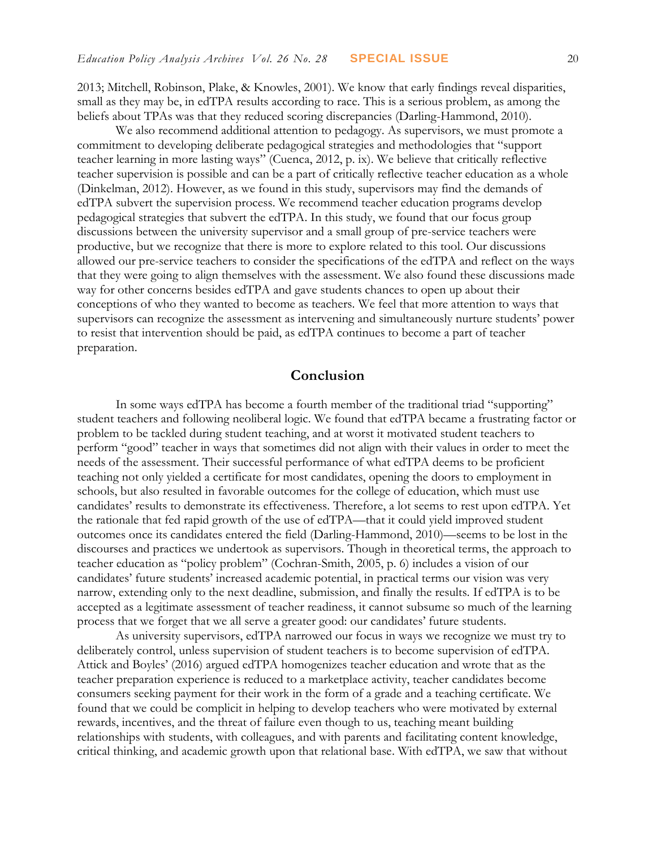2013; Mitchell, Robinson, Plake, & Knowles, 2001). We know that early findings reveal disparities, small as they may be, in edTPA results according to race. This is a serious problem, as among the beliefs about TPAs was that they reduced scoring discrepancies (Darling-Hammond, 2010).

We also recommend additional attention to pedagogy. As supervisors, we must promote a commitment to developing deliberate pedagogical strategies and methodologies that "support teacher learning in more lasting ways" (Cuenca, 2012, p. ix). We believe that critically reflective teacher supervision is possible and can be a part of critically reflective teacher education as a whole (Dinkelman, 2012). However, as we found in this study, supervisors may find the demands of edTPA subvert the supervision process. We recommend teacher education programs develop pedagogical strategies that subvert the edTPA. In this study, we found that our focus group discussions between the university supervisor and a small group of pre-service teachers were productive, but we recognize that there is more to explore related to this tool. Our discussions allowed our pre-service teachers to consider the specifications of the edTPA and reflect on the ways that they were going to align themselves with the assessment. We also found these discussions made way for other concerns besides edTPA and gave students chances to open up about their conceptions of who they wanted to become as teachers. We feel that more attention to ways that supervisors can recognize the assessment as intervening and simultaneously nurture students' power to resist that intervention should be paid, as edTPA continues to become a part of teacher preparation.

## **Conclusion**

In some ways edTPA has become a fourth member of the traditional triad "supporting" student teachers and following neoliberal logic. We found that edTPA became a frustrating factor or problem to be tackled during student teaching, and at worst it motivated student teachers to perform "good" teacher in ways that sometimes did not align with their values in order to meet the needs of the assessment. Their successful performance of what edTPA deems to be proficient teaching not only yielded a certificate for most candidates, opening the doors to employment in schools, but also resulted in favorable outcomes for the college of education, which must use candidates' results to demonstrate its effectiveness. Therefore, a lot seems to rest upon edTPA. Yet the rationale that fed rapid growth of the use of edTPA—that it could yield improved student outcomes once its candidates entered the field (Darling-Hammond, 2010)—seems to be lost in the discourses and practices we undertook as supervisors. Though in theoretical terms, the approach to teacher education as "policy problem" (Cochran-Smith, 2005, p. 6) includes a vision of our candidates' future students' increased academic potential, in practical terms our vision was very narrow, extending only to the next deadline, submission, and finally the results. If edTPA is to be accepted as a legitimate assessment of teacher readiness, it cannot subsume so much of the learning process that we forget that we all serve a greater good: our candidates' future students.

As university supervisors, edTPA narrowed our focus in ways we recognize we must try to deliberately control, unless supervision of student teachers is to become supervision of edTPA. Attick and Boyles' (2016) argued edTPA homogenizes teacher education and wrote that as the teacher preparation experience is reduced to a marketplace activity, teacher candidates become consumers seeking payment for their work in the form of a grade and a teaching certificate. We found that we could be complicit in helping to develop teachers who were motivated by external rewards, incentives, and the threat of failure even though to us, teaching meant building relationships with students, with colleagues, and with parents and facilitating content knowledge, critical thinking, and academic growth upon that relational base. With edTPA, we saw that without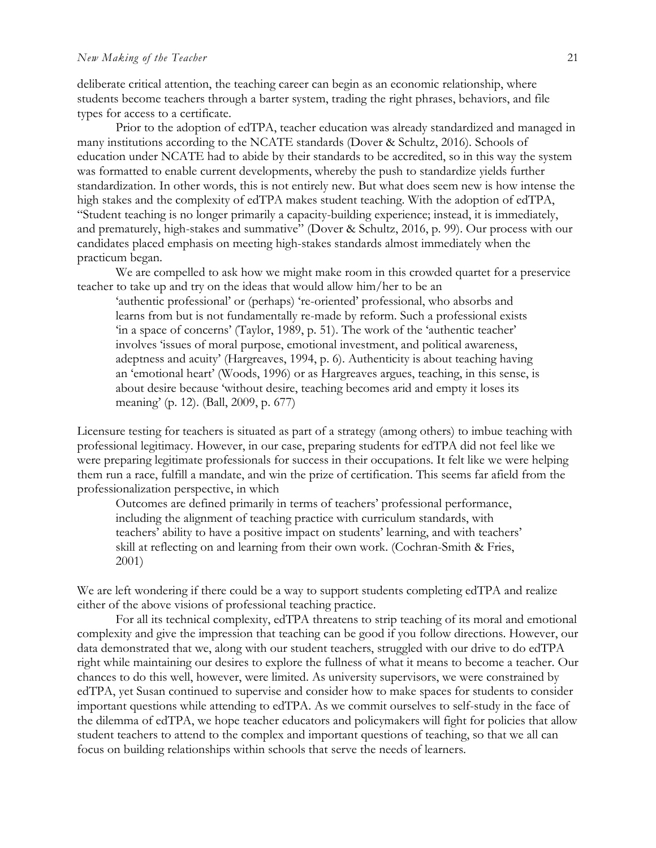deliberate critical attention, the teaching career can begin as an economic relationship, where students become teachers through a barter system, trading the right phrases, behaviors, and file types for access to a certificate.

Prior to the adoption of edTPA, teacher education was already standardized and managed in many institutions according to the NCATE standards (Dover & Schultz, 2016). Schools of education under NCATE had to abide by their standards to be accredited, so in this way the system was formatted to enable current developments, whereby the push to standardize yields further standardization. In other words, this is not entirely new. But what does seem new is how intense the high stakes and the complexity of edTPA makes student teaching. With the adoption of edTPA, "Student teaching is no longer primarily a capacity-building experience; instead, it is immediately, and prematurely, high-stakes and summative" (Dover & Schultz, 2016, p. 99). Our process with our candidates placed emphasis on meeting high-stakes standards almost immediately when the practicum began.

We are compelled to ask how we might make room in this crowded quartet for a preservice teacher to take up and try on the ideas that would allow him/her to be an

'authentic professional' or (perhaps) 're-oriented' professional, who absorbs and learns from but is not fundamentally re-made by reform. Such a professional exists 'in a space of concerns' (Taylor, 1989, p. 51). The work of the 'authentic teacher' involves 'issues of moral purpose, emotional investment, and political awareness, adeptness and acuity' (Hargreaves, 1994, p. 6). Authenticity is about teaching having an 'emotional heart' (Woods, 1996) or as Hargreaves argues, teaching, in this sense, is about desire because 'without desire, teaching becomes arid and empty it loses its meaning' (p. 12). (Ball, 2009, p. 677)

Licensure testing for teachers is situated as part of a strategy (among others) to imbue teaching with professional legitimacy. However, in our case, preparing students for edTPA did not feel like we were preparing legitimate professionals for success in their occupations. It felt like we were helping them run a race, fulfill a mandate, and win the prize of certification. This seems far afield from the professionalization perspective, in which

Outcomes are defined primarily in terms of teachers' professional performance, including the alignment of teaching practice with curriculum standards, with teachers' ability to have a positive impact on students' learning, and with teachers' skill at reflecting on and learning from their own work. (Cochran-Smith & Fries, 2001)

We are left wondering if there could be a way to support students completing edTPA and realize either of the above visions of professional teaching practice.

For all its technical complexity, edTPA threatens to strip teaching of its moral and emotional complexity and give the impression that teaching can be good if you follow directions. However, our data demonstrated that we, along with our student teachers, struggled with our drive to do edTPA right while maintaining our desires to explore the fullness of what it means to become a teacher. Our chances to do this well, however, were limited. As university supervisors, we were constrained by edTPA, yet Susan continued to supervise and consider how to make spaces for students to consider important questions while attending to edTPA. As we commit ourselves to self-study in the face of the dilemma of edTPA, we hope teacher educators and policymakers will fight for policies that allow student teachers to attend to the complex and important questions of teaching, so that we all can focus on building relationships within schools that serve the needs of learners.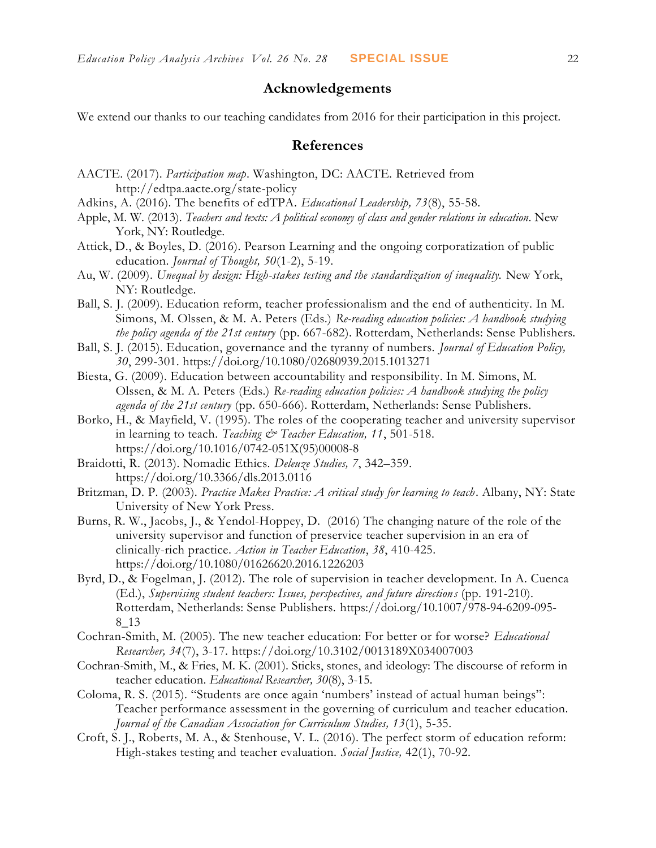# **Acknowledgements**

We extend our thanks to our teaching candidates from 2016 for their participation in this project.

# **References**

- AACTE. (2017). *Participation map*. Washington, DC: AACTE. Retrieved fro[m](http://edtpa.aacte.org/state-policy) <http://edtpa.aacte.org/state-policy>
- Adkins, A. (2016). The benefits of edTPA. *Educational Leadership, 73*(8), 55-58.
- Apple, M. W. (2013). *Teachers and texts: A political economy of class and gender relations in education*. New York, NY: Routledge.
- Attick, D., & Boyles, D. (2016). Pearson Learning and the ongoing corporatization of public education. *Journal of Thought, 50*(1-2), 5-19.
- Au, W. (2009). *Unequal by design: High-stakes testing and the standardization of inequality.* New York, NY: Routledge.
- Ball, S. J. (2009). Education reform, teacher professionalism and the end of authenticity. In M. Simons, M. Olssen, & M. A. Peters (Eds.) *Re-reading education policies: A handbook studying the policy agenda of the 21st century* (pp. 667-682). Rotterdam, Netherlands: Sense Publishers.
- Ball, S. J. (2015). Education, governance and the tyranny of numbers. *Journal of Education Policy, 30*, 299-301. <https://doi.org/10.1080/02680939.2015.1013271>
- Biesta, G. (2009). Education between accountability and responsibility. In M. Simons, M. Olssen, & M. A. Peters (Eds.) *Re-reading education policies: A handbook studying the policy agenda of the 21st century* (pp. 650-666). Rotterdam, Netherlands: Sense Publishers.
- Borko, H., & Mayfield, V. (1995). The roles of the cooperating teacher and university supervisor in learning to teach. *Teaching & Teacher Education*, 11, 501-518. [https://doi.org/10.1016/0742-051X\(95\)00008-8](https://doi.org/10.1016/0742-051X%2895%2900008-8)
- Braidotti, R. (2013). Nomadic Ethics. *Deleuze Studies, 7*, 342–359. <https://doi.org/10.3366/dls.2013.0116>
- Britzman, D. P. (2003). *Practice Makes Practice: A critical study for learning to teach*. Albany, NY: State University of New York Press.
- Burns, R. W., Jacobs, J., & Yendol-Hoppey, D. (2016) The changing nature of the role of the university supervisor and function of preservice teacher supervision in an era of clinically-rich practice. *Action in Teacher Education*, *38*, 410-425. <https://doi.org/10.1080/01626620.2016.1226203>
- Byrd, D., & Fogelman, J. (2012). The role of supervision in teacher development. In A. Cuenca (Ed.), *Supervising student teachers: Issues, perspectives, and future directions* (pp. 191-210). Rotterdam, Netherlands: Sense Publishers. [https://doi.org/10.1007/978-94-6209-095-](https://doi.org/10.1007/978-94-6209-095-8_13) [8\\_13](https://doi.org/10.1007/978-94-6209-095-8_13)
- Cochran-Smith, M. (2005). The new teacher education: For better or for worse? *Educational Researcher, 34*(7), 3-17. <https://doi.org/10.3102/0013189X034007003>
- Cochran-Smith, M., & Fries, M. K. (2001). Sticks, stones, and ideology: The discourse of reform in teacher education. *Educational Researcher, 30*(8), 3-15.
- Coloma, R. S. (2015). "Students are once again 'numbers' instead of actual human beings": Teacher performance assessment in the governing of curriculum and teacher education. *Journal of the Canadian Association for Curriculum Studies, 13*(1), 5-35.
- Croft, S. J., Roberts, M. A., & Stenhouse, V. L. (2016). The perfect storm of education reform: High-stakes testing and teacher evaluation. *Social Justice,* 42(1), 70-92.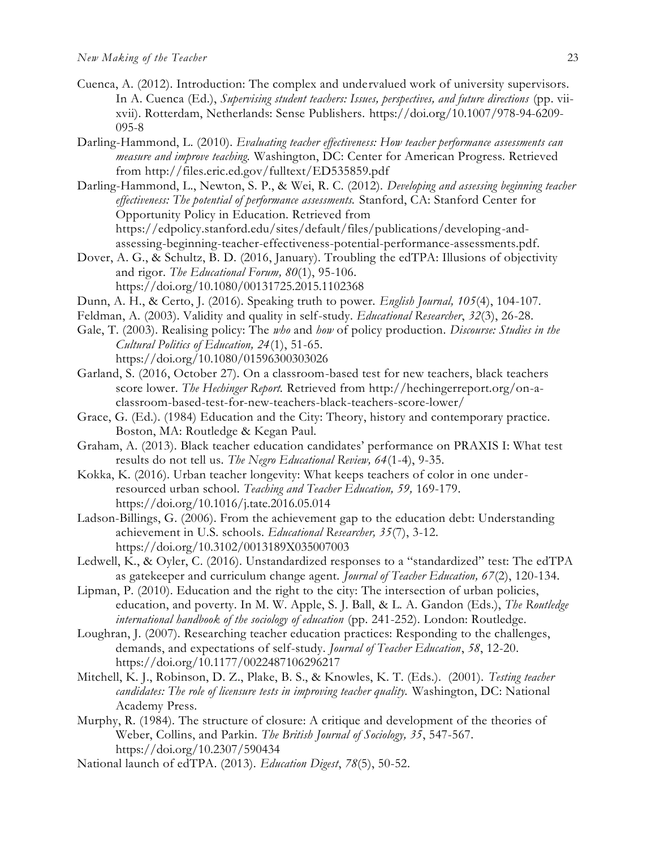- Cuenca, A. (2012). Introduction: The complex and undervalued work of university supervisors. In A. Cuenca (Ed.), *Supervising student teachers: Issues, perspectives, and future directions* (pp. viixvii). Rotterdam, Netherlands: Sense Publishers. https://doi.org/10.1007/978-94-6209- 095-8
- Darling-Hammond, L. (2010). *Evaluating teacher effectiveness: How teacher performance assessments can measure and improve teaching.* Washington, DC: Center for American Progress. Retrieved from http://files.eric.ed.gov/fulltext/ED535859.pdf
- Darling-Hammond, L., Newton, S. P., & Wei, R. C. (2012). *Developing and assessing beginning teacher effectiveness: The potential of performance assessments.* Stanford, CA: Stanford Center for Opportunity Policy in Education. Retrieved from [https://edpolicy.stanford.edu/sites/default/files/publications/developing-and](https://edpolicy.stanford.edu/sites/default/files/publications/developing-and-assessing-beginning-teacher-effectiveness-potential-performance-assessments.pdf)[assessing-beginning-teacher-effectiveness-potential-performance-assessments.pdf.](https://edpolicy.stanford.edu/sites/default/files/publications/developing-and-assessing-beginning-teacher-effectiveness-potential-performance-assessments.pdf)
- Dover, A. G., & Schultz, B. D. (2016, January). Troubling the edTPA: Illusions of objectivity and rigor. *The Educational Forum, 80*(1), 95-106. <https://doi.org/10.1080/00131725.2015.1102368>
- Dunn, A. H., & Certo, J. (2016). Speaking truth to power. *English Journal, 105*(4), 104-107.
- Feldman, A. (2003). Validity and quality in self-study. *Educational Researcher*, *32*(3), 26-28.
- Gale, T. (2003). Realising policy: The *who* and *how* of policy production. *Discourse: Studies in the Cultural Politics of Education, 24*(1), 51-65. <https://doi.org/10.1080/01596300303026>
- Garland, S. (2016, October 27). On a classroom-based test for new teachers, black teachers score lower. *The Hechinger Report.* Retrieved from [http://hechingerreport.org/on-a](http://hechingerreport.org/on-a-classroom-based-test-for-new-teachers-black-teachers-score-lower/)[classroom-based-test-for-new-teachers-black-teachers-score-lower/](http://hechingerreport.org/on-a-classroom-based-test-for-new-teachers-black-teachers-score-lower/)
- Grace, G. (Ed.). (1984) Education and the City: Theory, history and contemporary practice. Boston, MA: Routledge & Kegan Paul.
- Graham, A. (2013). Black teacher education candidates' performance on PRAXIS I: What test results do not tell us. *The Negro Educational Review, 64*(1-4), 9-35.
- Kokka, K. (2016). Urban teacher longevity: What keeps teachers of color in one underresourced urban school. *Teaching and Teacher Education, 59,* 169-179. <https://doi.org/10.1016/j.tate.2016.05.014>
- Ladson-Billings, G. (2006). From the achievement gap to the education debt: Understanding achievement in U.S. schools. *Educational Researcher, 35*(7), 3-12. <https://doi.org/10.3102/0013189X035007003>
- Ledwell, K., & Oyler, C. (2016). Unstandardized responses to a "standardized" test: The edTPA as gatekeeper and curriculum change agent. *Journal of Teacher Education, 67*(2), 120-134.
- Lipman, P. (2010). Education and the right to the city: The intersection of urban policies, education, and poverty. In M. W. Apple, S. J. Ball, & L. A. Gandon (Eds.), *The Routledge international handbook of the sociology of education* (pp. 241-252). London: Routledge.
- Loughran, J. (2007). Researching teacher education practices: Responding to the challenges, demands, and expectations of self-study. *Journal of Teacher Education*, *58*, 12-20. <https://doi.org/10.1177/0022487106296217>
- Mitchell, K. J., Robinson, D. Z., Plake, B. S., & Knowles, K. T. (Eds.). (2001). *Testing teacher candidates: The role of licensure tests in improving teacher quality.* Washington, DC: National Academy Press.
- Murphy, R. (1984). The structure of closure: A critique and development of the theories of Weber, Collins, and Parkin. *The British Journal of Sociology, 35*, 547-567. <https://doi.org/10.2307/590434>
- National launch of edTPA. (2013). *Education Digest*, *78*(5), 50-52.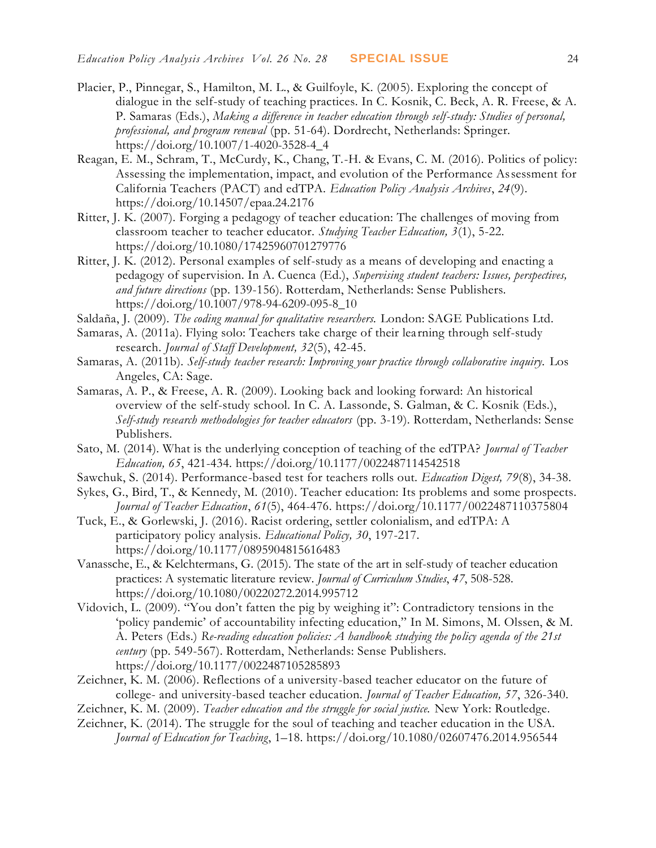- Placier, P., Pinnegar, S., Hamilton, M. L., & Guilfoyle, K. (2005). Exploring the concept of dialogue in the self-study of teaching practices. In C. Kosnik, C. Beck, A. R. Freese, & A. P. Samaras (Eds*.*), *Making a difference in teacher education through self-study: Studies of personal, professional, and program renewal* (pp. 51-64). Dordrecht, Netherlands: Springer. https://doi.org/10.1007/1-4020-3528-4\_4
- Reagan, E. M., Schram, T., McCurdy, K., Chang, T.-H. & Evans, C. M. (2016). Politics of policy: Assessing the implementation, impact, and evolution of the Performance Assessment for California Teachers (PACT) and edTPA. *Education Policy Analysis Archives*, *24*(9). <https://doi.org/10.14507/epaa.24.2176>
- Ritter, J. K. (2007). Forging a pedagogy of teacher education: The challenges of moving from classroom teacher to teacher educator. *Studying Teacher Education, 3*(1), 5-22. <https://doi.org/10.1080/17425960701279776>
- Ritter, J. K. (2012). Personal examples of self-study as a means of developing and enacting a pedagogy of supervision. In A. Cuenca (Ed.), *Supervising student teachers: Issues, perspectives, and future directions* (pp. 139-156). Rotterdam, Netherlands: Sense Publishers. [https://doi.org/10.1007/978-94-6209-095-8\\_10](https://doi.org/10.1007/978-94-6209-095-8_10)
- Saldaña, J. (2009). *The coding manual for qualitative researchers.* London: SAGE Publications Ltd.
- Samaras, A. (2011a). Flying solo: Teachers take charge of their learning through self-study research. *Journal of Staff Development, 32*(5), 42-45.
- Samaras, A. (2011b). *Self-study teacher research: Improving your practice through collaborative inquiry.* Los Angeles, CA: Sage.
- Samaras, A. P., & Freese, A. R. (2009). Looking back and looking forward: An historical overview of the self-study school. In C. A. Lassonde, S. Galman, & C. Kosnik (Eds.), *Self-study research methodologies for teacher educators* (pp. 3-19). Rotterdam, Netherlands: Sense Publishers.
- Sato, M. (2014). What is the underlying conception of teaching of the edTPA? *Journal of Teacher Education, 65*, 421-434.<https://doi.org/10.1177/0022487114542518>
- Sawchuk, S. (2014). Performance-based test for teachers rolls out. *Education Digest, 79*(8), 34-38.
- Sykes, G., Bird, T., & Kennedy, M. (2010). Teacher education: Its problems and some prospects. *Journal of Teacher Education*, *61*(5), 464-476. <https://doi.org/10.1177/0022487110375804>
- Tuck, E., & Gorlewski, J. (2016). Racist ordering, settler colonialism, and edTPA: A participatory policy analysis. *Educational Policy, 30*, 197-217. <https://doi.org/10.1177/0895904815616483>
- Vanassche, E., & Kelchtermans, G. (2015). The state of the art in self-study of teacher education practices: A systematic literature review. *Journal of Curriculum Studies*, *47*, 508-528. <https://doi.org/10.1080/00220272.2014.995712>
- Vidovich, L. (2009). "You don't fatten the pig by weighing it": Contradictory tensions in the 'policy pandemic' of accountability infecting education," In M. Simons, M. Olssen, & M. A. Peters (Eds.) *Re-reading education policies: A handbook studying the policy agenda of the 21st century* (pp. 549-567). Rotterdam, Netherlands: Sense Publishers. <https://doi.org/10.1177/0022487105285893>
- Zeichner, K. M. (2006). Reflections of a university-based teacher educator on the future of college- and university-based teacher education. *Journal of Teacher Education, 57*, 326-340.
- Zeichner, K. M. (2009). *Teacher education and the struggle for social justice.* New York: Routledge.
- Zeichner, K. (2014). The struggle for the soul of teaching and teacher education in the USA. *Journal of Education for Teaching*, 1–18.<https://doi.org/10.1080/02607476.2014.956544>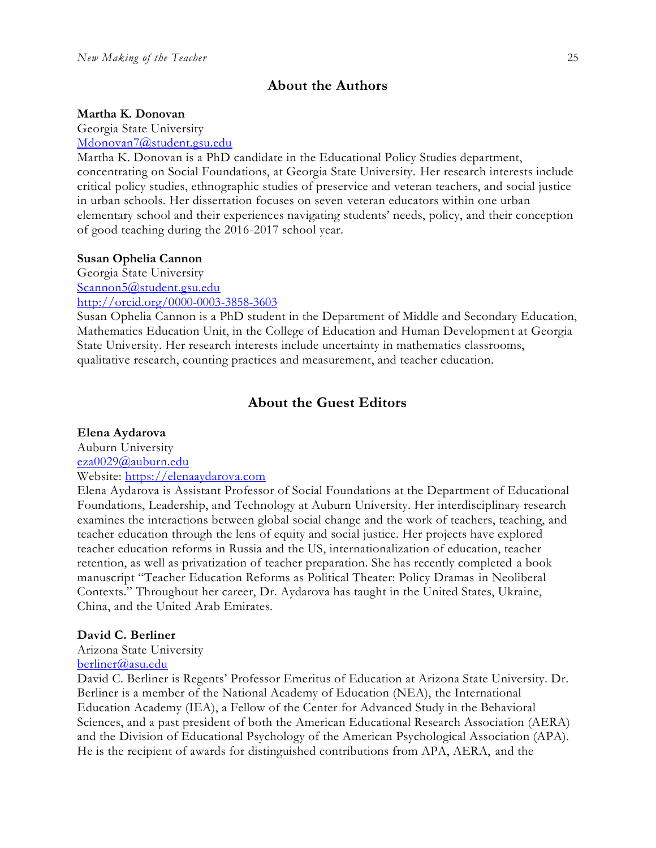# **About the Authors**

#### **Martha K. Donovan**

Georgia State University

[Mdonovan7@student.gsu.edu](mailto:Mdonovan7@student.gsu.edu)

Martha K. Donovan is a PhD candidate in the Educational Policy Studies department, concentrating on Social Foundations, at Georgia State University. Her research interests include critical policy studies, ethnographic studies of preservice and veteran teachers, and social justice in urban schools. Her dissertation focuses on seven veteran educators within one urban elementary school and their experiences navigating students' needs, policy, and their conception of good teaching during the 2016-2017 school year.

## **Susan Ophelia Cannon**

Georgia State University

[Scannon5@student.gsu.edu](mailto:Scannon5@student.gsu.edu)

<http://orcid.org/0000-0003-3858-3603>

Susan Ophelia Cannon is a PhD student in the Department of Middle and Secondary Education, Mathematics Education Unit, in the College of Education and Human Development at Georgia State University. Her research interests include uncertainty in mathematics classrooms, qualitative research, counting practices and measurement, and teacher education.

# **About the Guest Editors**

### **Elena Aydarova**

Auburn University [eza0029@auburn.edu](mailto:eza0029@auburn.edu) Website: [https://elenaaydarova.com](https://elenaaydarova.com/)

Elena Aydarova is Assistant Professor of Social Foundations at the Department of Educational Foundations, Leadership, and Technology at Auburn University. Her interdisciplinary research examines the interactions between global social change and the work of teachers, teaching, and teacher education through the lens of equity and social justice. Her projects have explored teacher education reforms in Russia and the US, internationalization of education, teacher retention, as well as privatization of teacher preparation. She has recently completed a book manuscript "Teacher Education Reforms as Political Theater: Policy Dramas in Neoliberal Contexts." Throughout her career, Dr. Aydarova has taught in the United States, Ukraine, China, and the United Arab Emirates.

## **David C. Berliner**

Arizona State University [berliner@asu.edu](mailto:berliner@asu.edu)

David C. Berliner is Regents' Professor Emeritus of Education at Arizona State University. Dr. Berliner is a member of the National Academy of Education (NEA), the International Education Academy (IEA), a Fellow of the Center for Advanced Study in the Behavioral Sciences, and a past president of both the American Educational Research Association (AERA) and the Division of Educational Psychology of the American Psychological Association (APA). He is the recipient of awards for distinguished contributions from APA, AERA, and the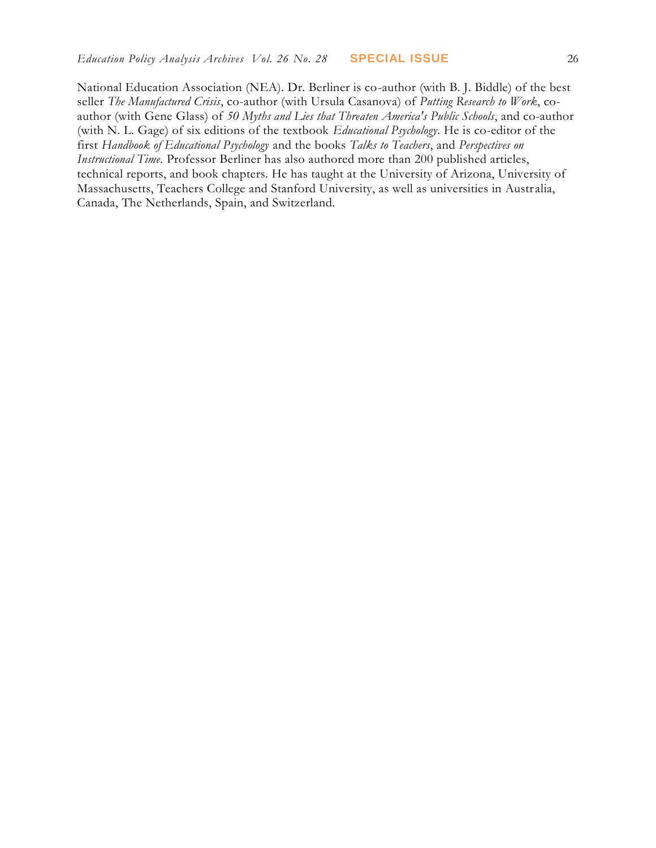National Education Association (NEA). Dr. Berliner is co-author (with B. J. Biddle) of the best seller *The Manufactured Crisis*, co-author (with Ursula Casanova) of *Putting Research to Work*, coauthor (with Gene Glass) of *50 Myths and Lies that Threaten America's Public Schools*, and co-author (with N. L. Gage) of six editions of the textbook *Educational Psychology*. He is co-editor of the first *Handbook of Educational Psychology* and the books *Talks to Teachers*, and *Perspectives on Instructional Time*. Professor Berliner has also authored more than 200 published articles, technical reports, and book chapters. He has taught at the University of Arizona, University of Massachusetts, Teachers College and Stanford University, as well as universities in Australia, Canada, The Netherlands, Spain, and Switzerland.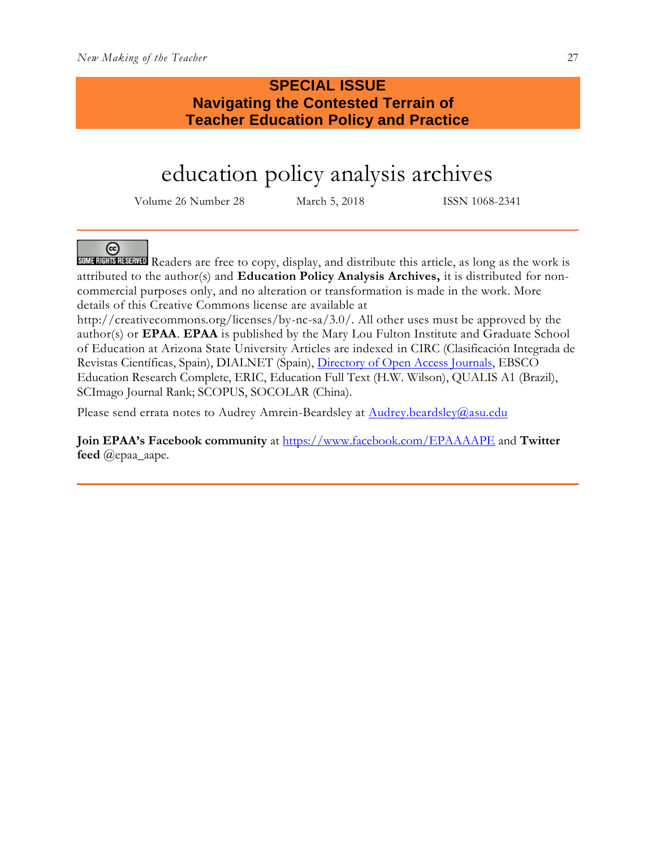# **SPECIAL ISSUE Navigating the Contested Terrain of Teacher Education Policy and Practice**

# education policy analysis archives

Volume 26 Number 28 March 5, 2018 ISSN 1068-2341

# $(c)$

**SOME RIGHTS RESERVED** Readers are free to copy, display, and distribute this article, as long as the work is attributed to the author(s) and **Education Policy Analysis Archives,** it is distributed for noncommercial purposes only, and no alteration or transformation is made in the work. More details of this Creative Commons license are available at

http://creativecommons.org/licenses/by-nc-sa/3.0/. All other uses must be approved by the author(s) or **EPAA**. **EPAA** is published by the Mary Lou Fulton Institute and Graduate School of Education at Arizona State University Articles are indexed in CIRC (Clasificación Integrada de Revistas Científicas, Spain), DIALNET (Spain), [Directory of Open Access Journals,](http://www.doaj.org/) EBSCO Education Research Complete, ERIC, Education Full Text (H.W. Wilson), QUALIS A1 (Brazil), SCImago Journal Rank; SCOPUS, SOCOLAR (China).

Please send errata notes to Audrey Amrein-Beardsley at [Audrey.beardsley@asu.edu](mailto:Audrey.beardsley@asu.edu)

**Join EPAA's Facebook community** at<https://www.facebook.com/EPAAAAPE> and **Twitter feed** @epaa\_aape.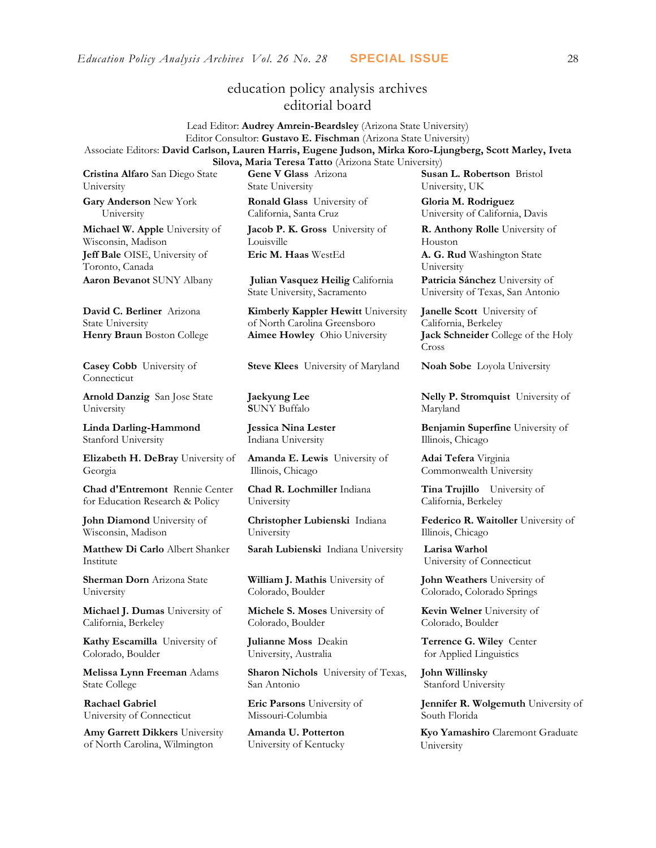# education policy analysis archives editorial board

Lead Editor: **Audrey Amrein-Beardsley** (Arizona State University) Editor Consultor: **Gustavo E. Fischman** (Arizona State University) Associate Editors: **David Carlson, Lauren Harris, Eugene Judson, Mirka Koro-Ljungberg, Scott Marley, Iveta Silova, Maria Teresa Tatto** (Arizona State University)

**Cristina Alfaro** San Diego State University

**Gary Anderson** New York University

**Michael W. Apple** University of Wisconsin, Madison **Jeff Bale** OISE, University of Toronto, Canada **Aaron Bevanot** SUNY Albany **Julian Vasquez Heilig** California

**David C. Berliner** Arizona State University

**Casey Cobb** University of Connecticut

**Arnold Danzig** San Jose State University

**Linda Darling-Hammond**  Stanford University

**Elizabeth H. DeBray** University of Georgia

**Chad d'Entremont** Rennie Center for Education Research & Policy

**John Diamond** University of Wisconsin, Madison

**Matthew Di Carlo** Albert Shanker Institute

**Sherman Dorn** Arizona State University

**Michael J. Dumas** University of California, Berkeley

**Kathy Escamilla** University of Colorado, Boulder

**Melissa Lynn Freeman** Adams State College

**Rachael Gabriel** University of Connecticut

**Amy Garrett Dikkers** University of North Carolina, Wilmington

**Gene V Glass** Arizona State University

**Ronald Glass** University of California, Santa Cruz

**Jacob P. K. Gross** University of Louisville **Eric M. Haas** WestEd **A. G. Rud** Washington State

State University, Sacramento

**Kimberly Kappler Hewitt** University of North Carolina Greensboro **Henry Braun** Boston College **Aimee Howley** Ohio University **Jack Schneider** College of the Holy

**Steve Klees** University of Maryland **Noah Sobe** Loyola University

**Jaekyung Lee S**UNY Buffalo

**Jessica Nina Lester** Indiana University

**Amanda E. Lewis** University of Illinois, Chicago

**Chad R. Lochmiller** Indiana University

**Christopher Lubienski** Indiana University

**Sarah Lubienski** Indiana University **Larisa Warhol**

**William J. Mathis** University of Colorado, Boulder

**Michele S. Moses** University of Colorado, Boulder

**Julianne Moss** Deakin University, Australia

**Sharon Nichols** University of Texas, San Antonio

**Eric Parsons** University of Missouri-Columbia

**Amanda U. Potterton** University of Kentucky **Susan L. Robertson** Bristol University, UK

**Gloria M. Rodriguez** University of California, Davis

**R. Anthony Rolle** University of Houston

University **Patricia Sánchez** University of

University of Texas, San Antonio

**Janelle Scott** University of California, Berkeley Cross

**Nelly P. Stromquist** University of Maryland

**Benjamin Superfine** University of Illinois, Chicago

**Adai Tefera** Virginia Commonwealth University

**Tina Trujillo** University of California, Berkeley

**Federico R. Waitoller** University of Illinois, Chicago

University of Connecticut

**John Weathers** University of Colorado, Colorado Springs

**Kevin Welner** University of Colorado, Boulder

**Terrence G. Wiley** Center for Applied Linguistics

**John Willinsky**  Stanford University

**Jennifer R. Wolgemuth** University of South Florida

**Kyo Yamashiro** Claremont Graduate University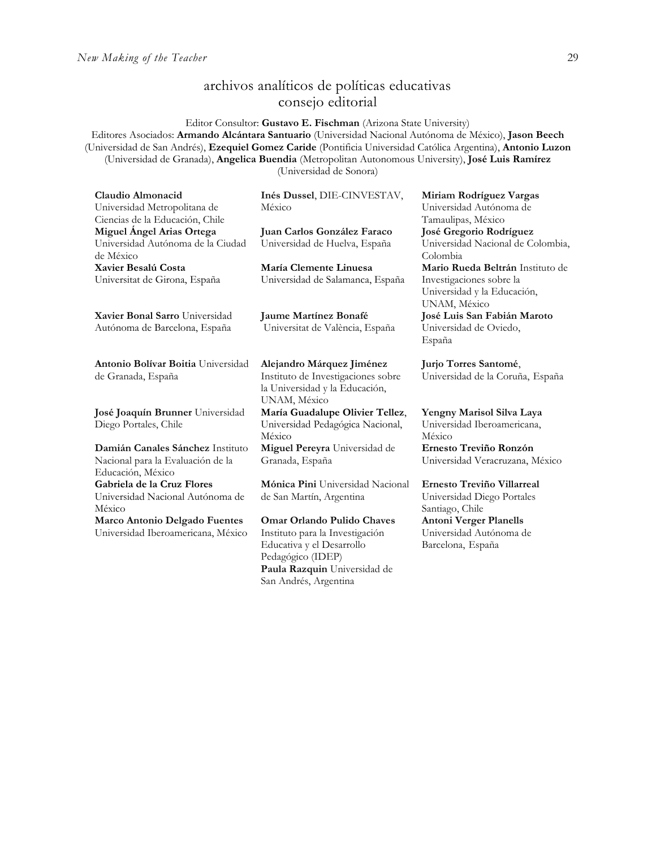# archivos analíticos de políticas educativas consejo editorial

Editor Consultor: **Gustavo E. Fischman** (Arizona State University) Editores Asociados: **Armando Alcántara Santuario** (Universidad Nacional Autónoma de México), **Jason Beech** (Universidad de San Andrés), **Ezequiel Gomez Caride** (Pontificia Universidad Católica Argentina), **Antonio Luzon** (Universidad de Granada), **Angelica Buendia** (Metropolitan Autonomous University), **José Luis Ramírez** (Universidad de Sonora)

| Claudio Almonacid                                               | Inés Dussel, DIE-CINVESTAV,                                                                                       | Miriam Rodríguez Vargas                                                 |
|-----------------------------------------------------------------|-------------------------------------------------------------------------------------------------------------------|-------------------------------------------------------------------------|
| Universidad Metropolitana de<br>Ciencias de la Educación, Chile | México                                                                                                            | Universidad Autónoma de<br>Tamaulipas, México                           |
| Miguel Angel Arias Ortega                                       | Juan Carlos González Faraco                                                                                       | José Gregorio Rodríguez                                                 |
| Universidad Autónoma de la Ciudad<br>de México                  | Universidad de Huelva, España                                                                                     | Universidad Nacional de Colombia,<br>Colombia                           |
| Xavier Besalú Costa                                             | María Clemente Linuesa                                                                                            | Mario Rueda Beltrán Instituto de                                        |
| Universitat de Girona, España                                   | Universidad de Salamanca, España                                                                                  | Investigaciones sobre la<br>Universidad y la Educación,<br>UNAM, México |
| Xavier Bonal Sarro Universidad                                  | <b>Jaume Martínez Bonafé</b>                                                                                      | José Luis San Fabián Maroto                                             |
| Autónoma de Barcelona, España                                   | Universitat de València, España                                                                                   | Universidad de Oviedo,<br>España                                        |
| Antonio Bolívar Boitia Universidad<br>de Granada, España        | Alejandro Márquez Jiménez<br>Instituto de Investigaciones sobre<br>la Universidad y la Educación,<br>UNAM, México | Jurjo Torres Santomé,<br>Universidad de la Coruña, España               |
| José Joaquín Brunner Universidad<br>Diego Portales, Chile       | María Guadalupe Olivier Tellez,<br>Universidad Pedagógica Nacional,<br>México                                     | Yengny Marisol Silva Laya<br>Universidad Iberoamericana,<br>México      |
| Damián Canales Sánchez Instituto                                | Miguel Pereyra Universidad de                                                                                     | Ernesto Treviño Ronzón                                                  |
| Nacional para la Evaluación de la<br>Educación, México          | Granada, España                                                                                                   | Universidad Veracruzana, México                                         |
| Gabriela de la Cruz Flores                                      | Mónica Pini Universidad Nacional                                                                                  | Ernesto Treviño Villarreal                                              |
| Universidad Nacional Autónoma de<br>México                      | de San Martín, Argentina                                                                                          | Universidad Diego Portales<br>Santiago, Chile                           |
| Marco Antonio Delgado Fuentes                                   | Omar Orlando Pulido Chaves                                                                                        | <b>Antoni Verger Planells</b>                                           |
| Universidad Iberoamericana, México                              | Instituto para la Investigación                                                                                   | Universidad Autónoma de                                                 |
|                                                                 | Educativa y el Desarrollo                                                                                         | Barcelona, España                                                       |
|                                                                 | Pedagógico (IDEP)                                                                                                 |                                                                         |
|                                                                 | Paula Razquin Universidad de                                                                                      |                                                                         |
|                                                                 | San Andrés, Argentina                                                                                             |                                                                         |